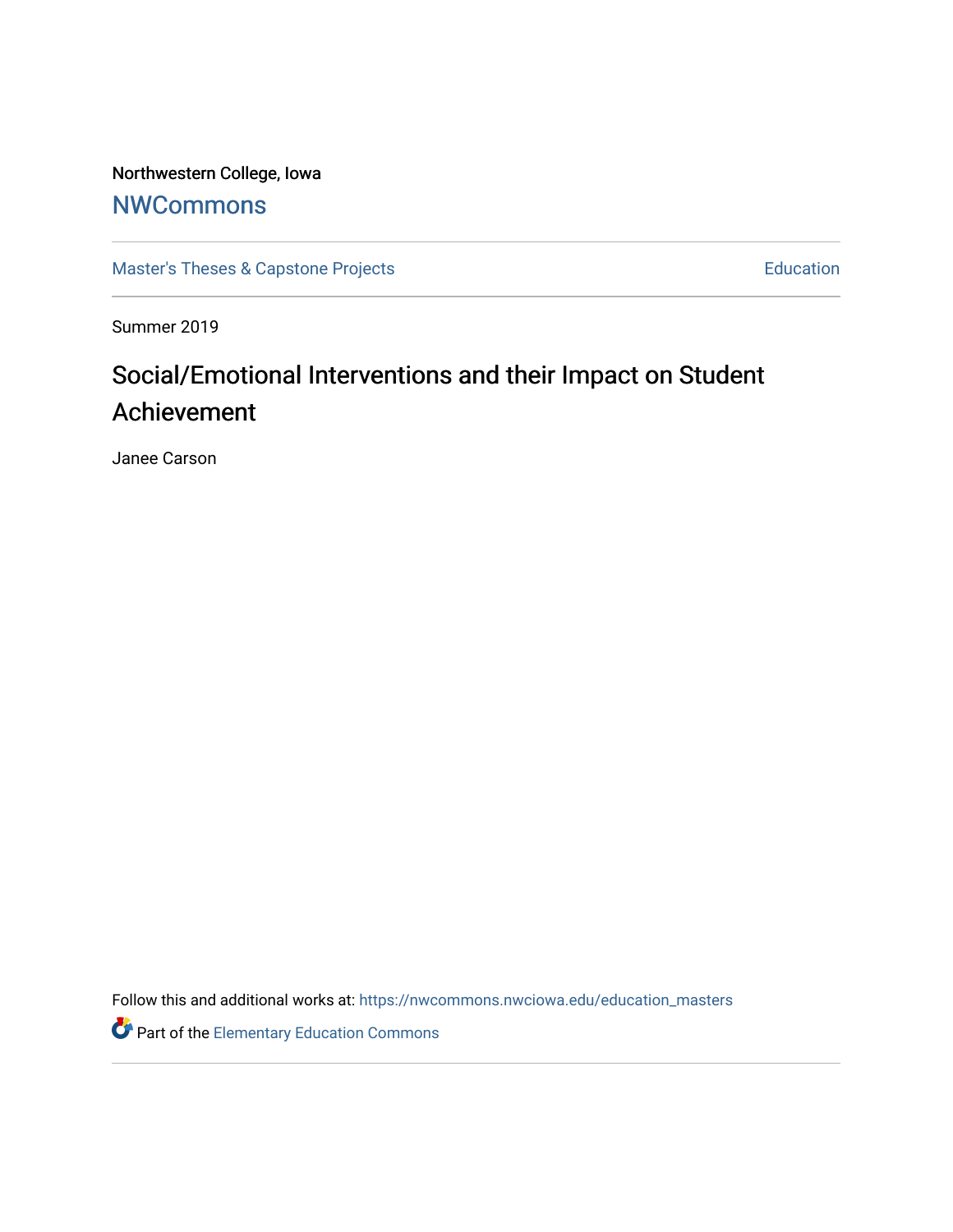Northwestern College, Iowa

# **[NWCommons](https://nwcommons.nwciowa.edu/)**

[Master's Theses & Capstone Projects](https://nwcommons.nwciowa.edu/education_masters) **Education** Education

Summer 2019

# Social/Emotional Interventions and their Impact on Student Achievement

Janee Carson

Follow this and additional works at: [https://nwcommons.nwciowa.edu/education\\_masters](https://nwcommons.nwciowa.edu/education_masters?utm_source=nwcommons.nwciowa.edu%2Feducation_masters%2F158&utm_medium=PDF&utm_campaign=PDFCoverPages)

Part of the [Elementary Education Commons](http://network.bepress.com/hgg/discipline/1378?utm_source=nwcommons.nwciowa.edu%2Feducation_masters%2F158&utm_medium=PDF&utm_campaign=PDFCoverPages)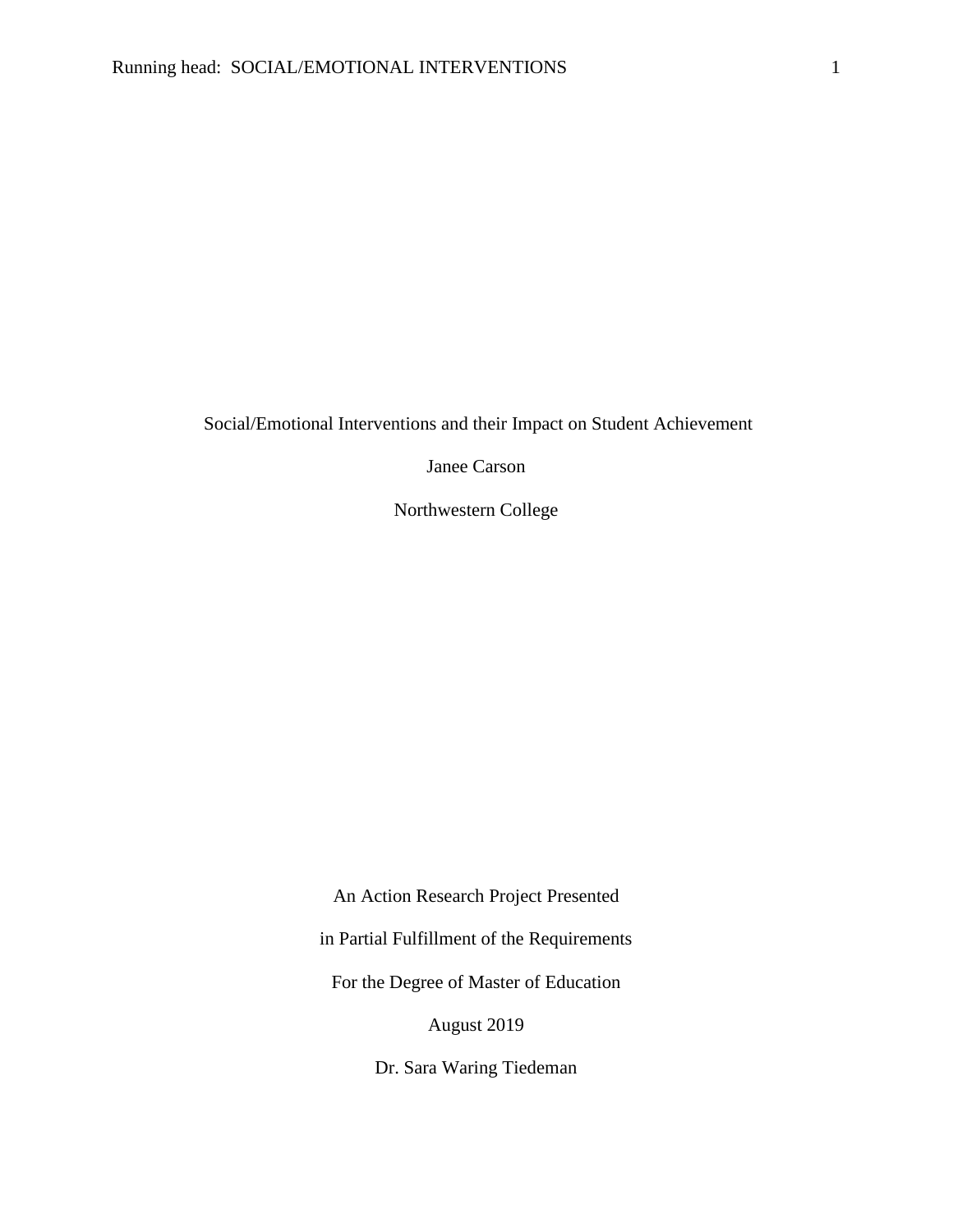Social/Emotional Interventions and their Impact on Student Achievement

Janee Carson

Northwestern College

An Action Research Project Presented in Partial Fulfillment of the Requirements For the Degree of Master of Education August 2019

Dr. Sara Waring Tiedeman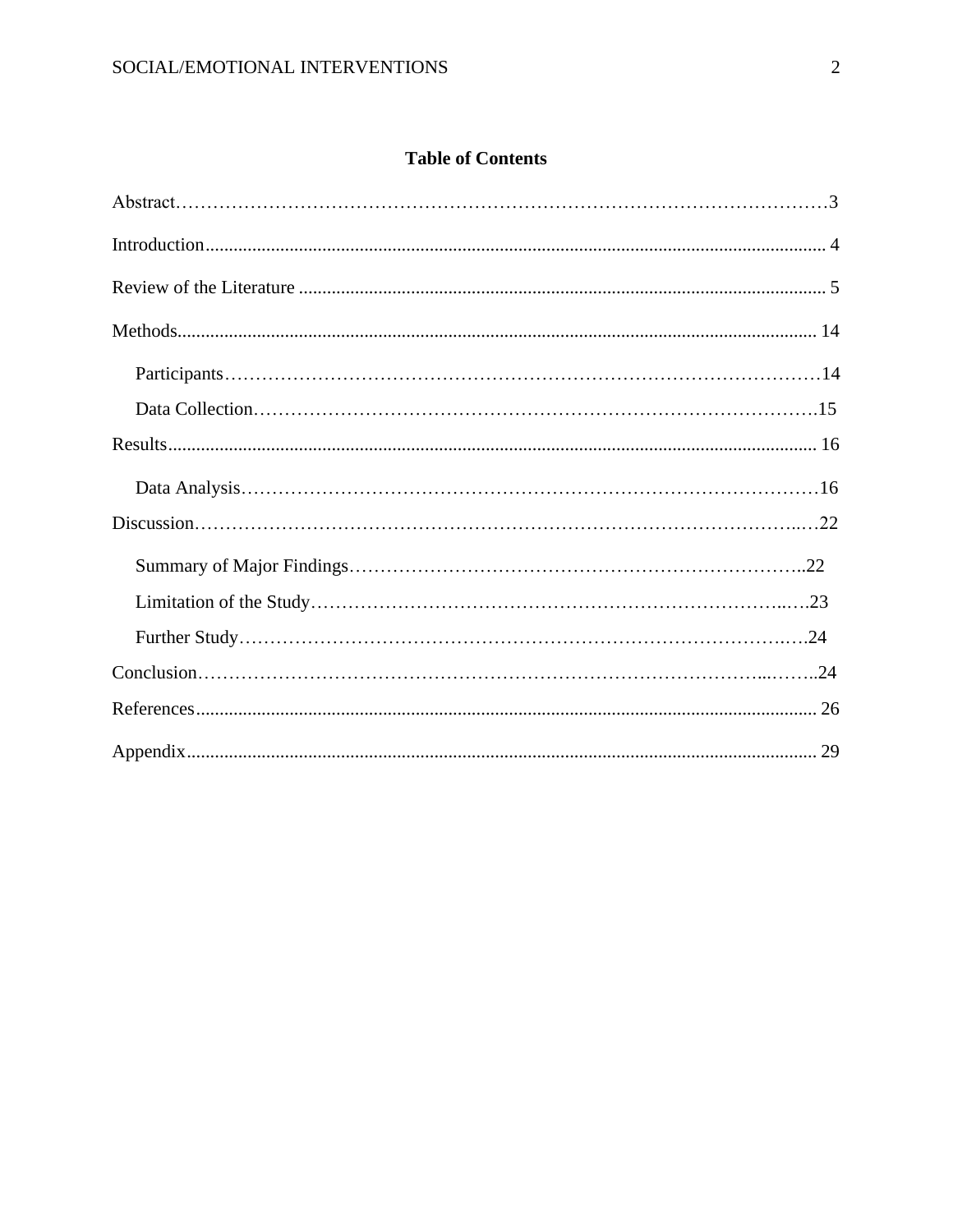# **Table of Contents**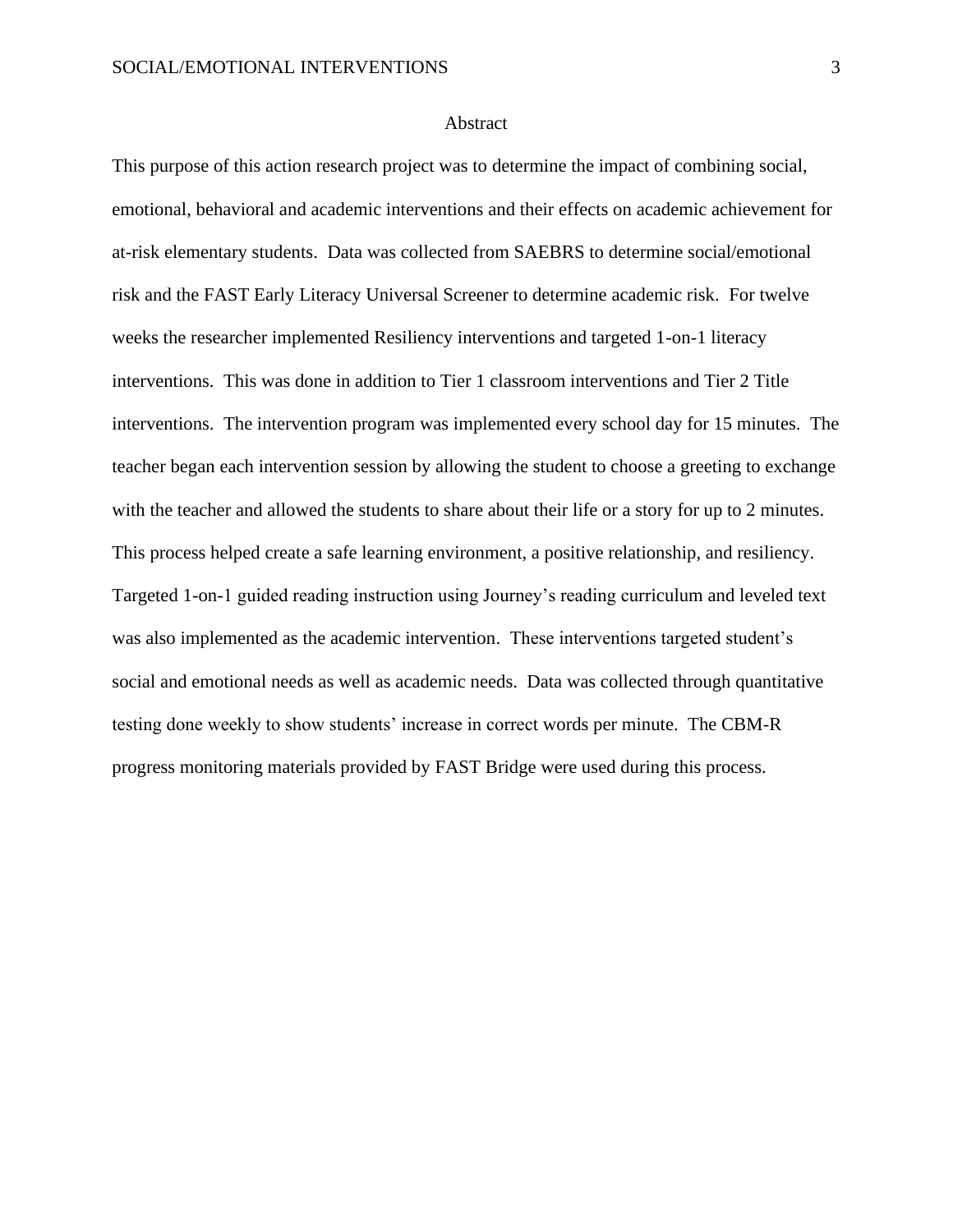# **Abstract**

This purpose of this action research project was to determine the impact of combining social, emotional, behavioral and academic interventions and their effects on academic achievement for at-risk elementary students. Data was collected from SAEBRS to determine social/emotional risk and the FAST Early Literacy Universal Screener to determine academic risk. For twelve weeks the researcher implemented Resiliency interventions and targeted 1-on-1 literacy interventions. This was done in addition to Tier 1 classroom interventions and Tier 2 Title interventions. The intervention program was implemented every school day for 15 minutes. The teacher began each intervention session by allowing the student to choose a greeting to exchange with the teacher and allowed the students to share about their life or a story for up to 2 minutes. This process helped create a safe learning environment, a positive relationship, and resiliency. Targeted 1-on-1 guided reading instruction using Journey's reading curriculum and leveled text was also implemented as the academic intervention. These interventions targeted student's social and emotional needs as well as academic needs. Data was collected through quantitative testing done weekly to show students' increase in correct words per minute. The CBM-R progress monitoring materials provided by FAST Bridge were used during this process.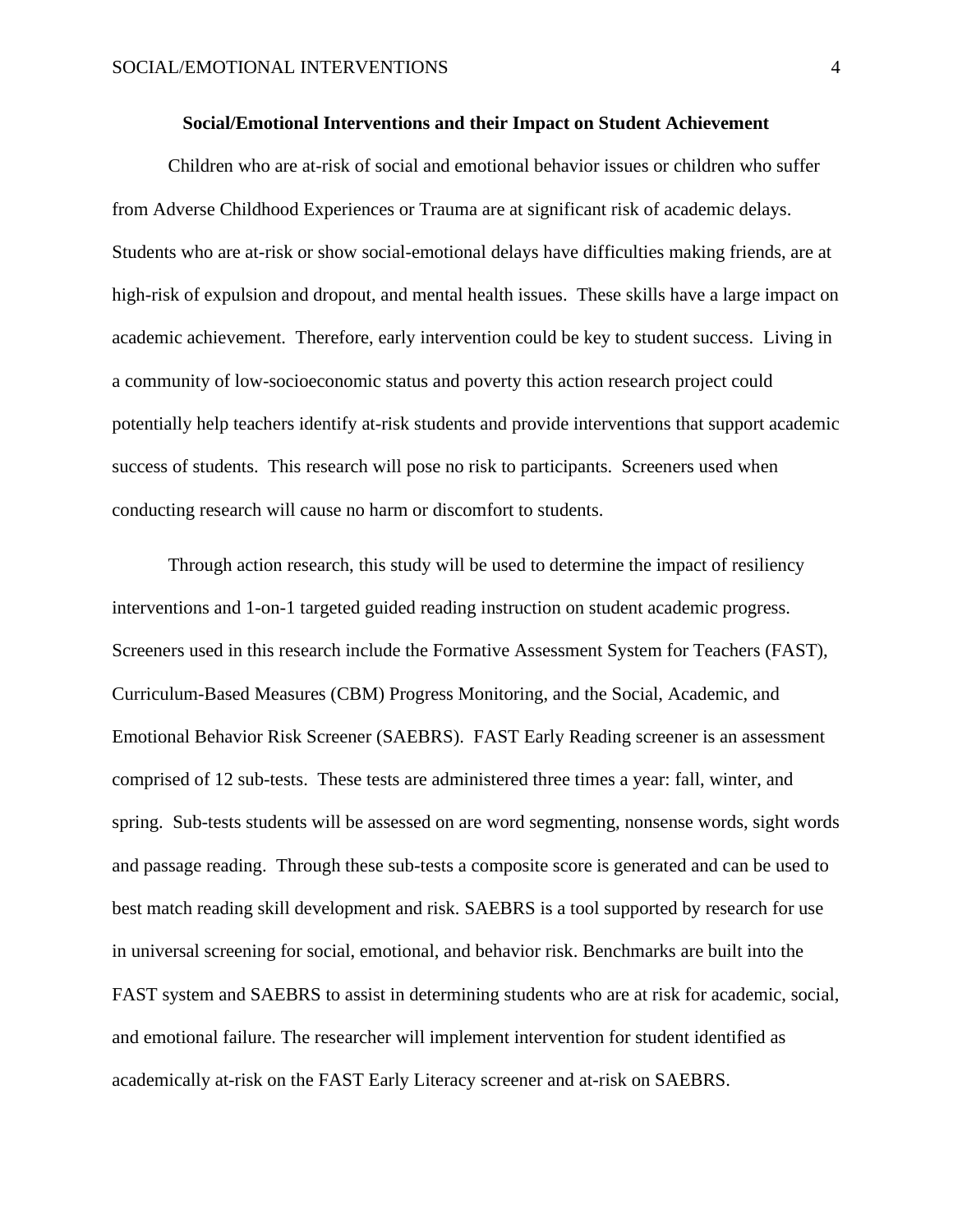# **Social/Emotional Interventions and their Impact on Student Achievement**

Children who are at-risk of social and emotional behavior issues or children who suffer from Adverse Childhood Experiences or Trauma are at significant risk of academic delays. Students who are at-risk or show social-emotional delays have difficulties making friends, are at high-risk of expulsion and dropout, and mental health issues. These skills have a large impact on academic achievement. Therefore, early intervention could be key to student success. Living in a community of low-socioeconomic status and poverty this action research project could potentially help teachers identify at-risk students and provide interventions that support academic success of students. This research will pose no risk to participants. Screeners used when conducting research will cause no harm or discomfort to students.

Through action research, this study will be used to determine the impact of resiliency interventions and 1-on-1 targeted guided reading instruction on student academic progress. Screeners used in this research include the Formative Assessment System for Teachers (FAST), Curriculum-Based Measures (CBM) Progress Monitoring, and the Social, Academic, and Emotional Behavior Risk Screener (SAEBRS). FAST Early Reading screener is an assessment comprised of 12 sub-tests. These tests are administered three times a year: fall, winter, and spring. Sub-tests students will be assessed on are word segmenting, nonsense words, sight words and passage reading. Through these sub-tests a composite score is generated and can be used to best match reading skill development and risk. SAEBRS is a tool supported by research for use in universal screening for social, emotional, and behavior risk. Benchmarks are built into the FAST system and SAEBRS to assist in determining students who are at risk for academic, social, and emotional failure. The researcher will implement intervention for student identified as academically at-risk on the FAST Early Literacy screener and at-risk on SAEBRS.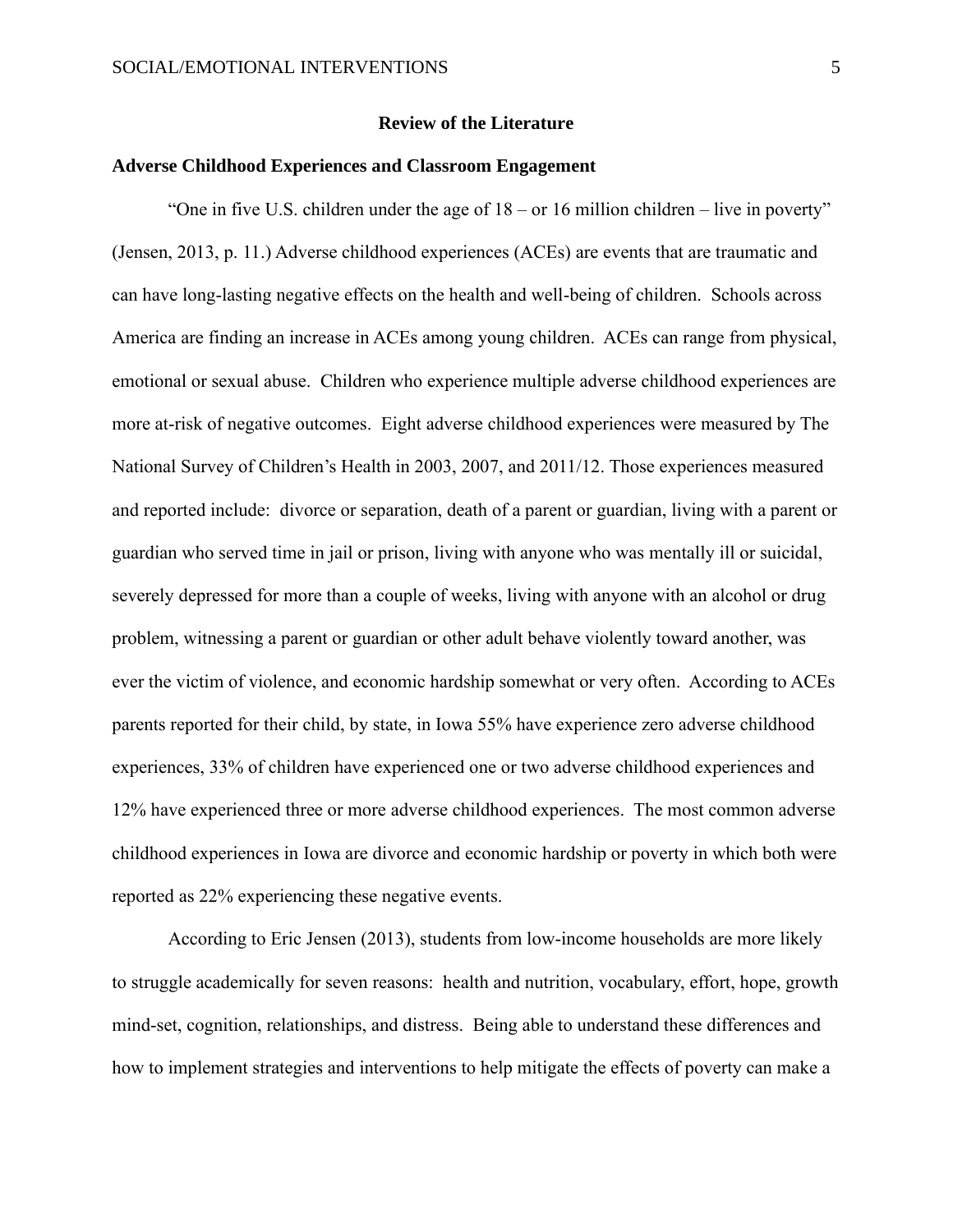# **Review of the Literature**

# <span id="page-5-0"></span>**Adverse Childhood Experiences and Classroom Engagement**

"One in five U.S. children under the age of 18 – or 16 million children – live in poverty" (Jensen, 2013, p. 11.) Adverse childhood experiences (ACEs) are events that are traumatic and can have long-lasting negative effects on the health and well-being of children. Schools across America are finding an increase in ACEs among young children. ACEs can range from physical, emotional or sexual abuse. Children who experience multiple adverse childhood experiences are more at-risk of negative outcomes. Eight adverse childhood experiences were measured by The National Survey of Children's Health in 2003, 2007, and 2011/12. Those experiences measured and reported include: divorce or separation, death of a parent or guardian, living with a parent or guardian who served time in jail or prison, living with anyone who was mentally ill or suicidal, severely depressed for more than a couple of weeks, living with anyone with an alcohol or drug problem, witnessing a parent or guardian or other adult behave violently toward another, was ever the victim of violence, and economic hardship somewhat or very often. According to ACEs parents reported for their child, by state, in Iowa 55% have experience zero adverse childhood experiences, 33% of children have experienced one or two adverse childhood experiences and 12% have experienced three or more adverse childhood experiences. The most common adverse childhood experiences in Iowa are divorce and economic hardship or poverty in which both were reported as 22% experiencing these negative events.

According to Eric Jensen (2013), students from low-income households are more likely to struggle academically for seven reasons: health and nutrition, vocabulary, effort, hope, growth mind-set, cognition, relationships, and distress. Being able to understand these differences and how to implement strategies and interventions to help mitigate the effects of poverty can make a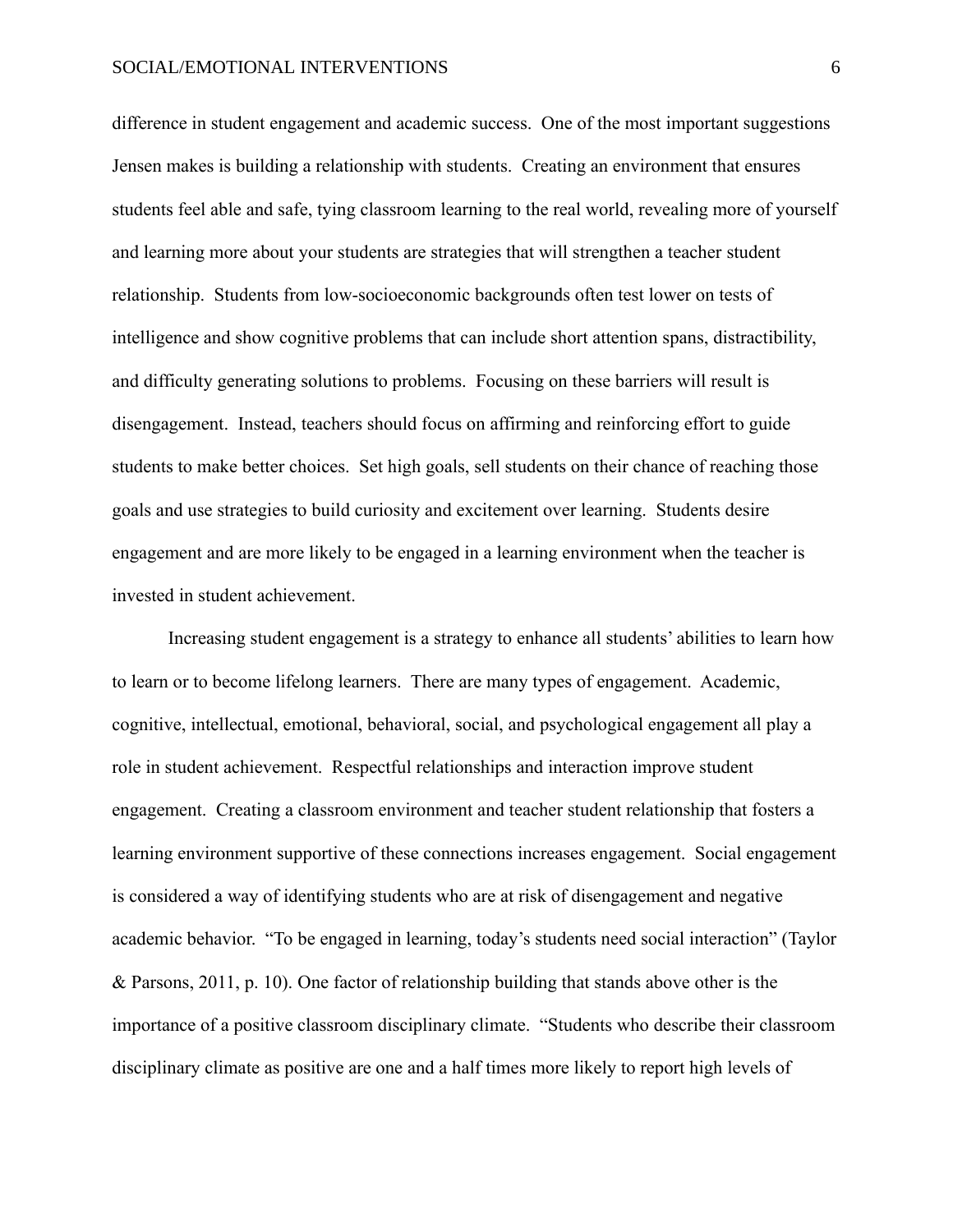difference in student engagement and academic success. One of the most important suggestions Jensen makes is building a relationship with students. Creating an environment that ensures students feel able and safe, tying classroom learning to the real world, revealing more of yourself and learning more about your students are strategies that will strengthen a teacher student relationship. Students from low-socioeconomic backgrounds often test lower on tests of intelligence and show cognitive problems that can include short attention spans, distractibility, and difficulty generating solutions to problems. Focusing on these barriers will result is disengagement. Instead, teachers should focus on affirming and reinforcing effort to guide students to make better choices. Set high goals, sell students on their chance of reaching those goals and use strategies to build curiosity and excitement over learning. Students desire engagement and are more likely to be engaged in a learning environment when the teacher is invested in student achievement.

Increasing student engagement is a strategy to enhance all students' abilities to learn how to learn or to become lifelong learners. There are many types of engagement. Academic, cognitive, intellectual, emotional, behavioral, social, and psychological engagement all play a role in student achievement. Respectful relationships and interaction improve student engagement. Creating a classroom environment and teacher student relationship that fosters a learning environment supportive of these connections increases engagement. Social engagement is considered a way of identifying students who are at risk of disengagement and negative academic behavior. "To be engaged in learning, today's students need social interaction" (Taylor & Parsons, 2011, p. 10). One factor of relationship building that stands above other is the importance of a positive classroom disciplinary climate. "Students who describe their classroom disciplinary climate as positive are one and a half times more likely to report high levels of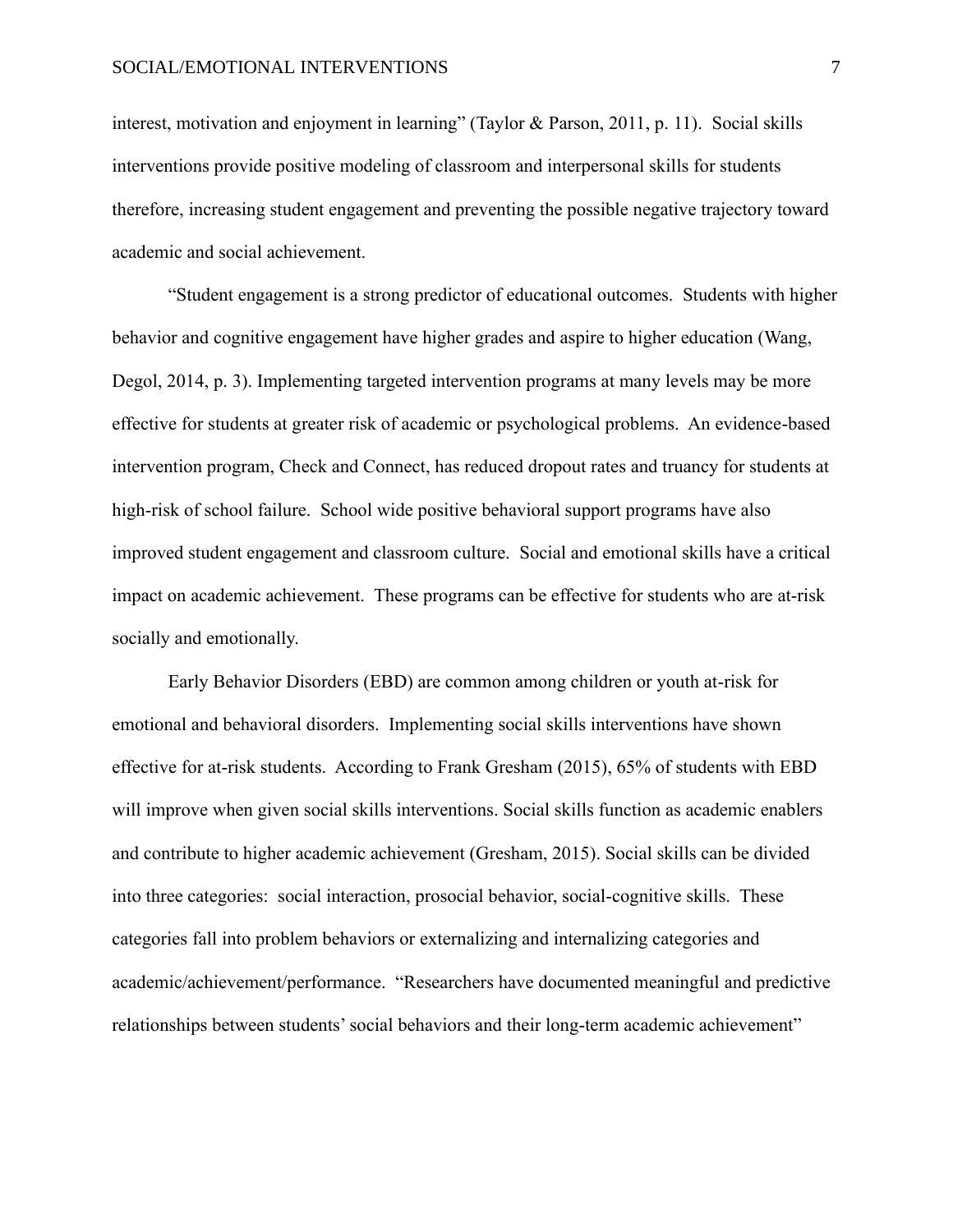interest, motivation and enjoyment in learning" (Taylor & Parson, 2011, p. 11). Social skills interventions provide positive modeling of classroom and interpersonal skills for students therefore, increasing student engagement and preventing the possible negative trajectory toward academic and social achievement.

"Student engagement is a strong predictor of educational outcomes. Students with higher behavior and cognitive engagement have higher grades and aspire to higher education (Wang, Degol, 2014, p. 3). Implementing targeted intervention programs at many levels may be more effective for students at greater risk of academic or psychological problems. An evidence-based intervention program, Check and Connect, has reduced dropout rates and truancy for students at high-risk of school failure. School wide positive behavioral support programs have also improved student engagement and classroom culture. Social and emotional skills have a critical impact on academic achievement. These programs can be effective for students who are at-risk socially and emotionally.

Early Behavior Disorders (EBD) are common among children or youth at-risk for emotional and behavioral disorders. Implementing social skills interventions have shown effective for at-risk students. According to Frank Gresham (2015), 65% of students with EBD will improve when given social skills interventions. Social skills function as academic enablers and contribute to higher academic achievement (Gresham, 2015). Social skills can be divided into three categories: social interaction, prosocial behavior, social-cognitive skills. These categories fall into problem behaviors or externalizing and internalizing categories and academic/achievement/performance. "Researchers have documented meaningful and predictive relationships between students' social behaviors and their long-term academic achievement"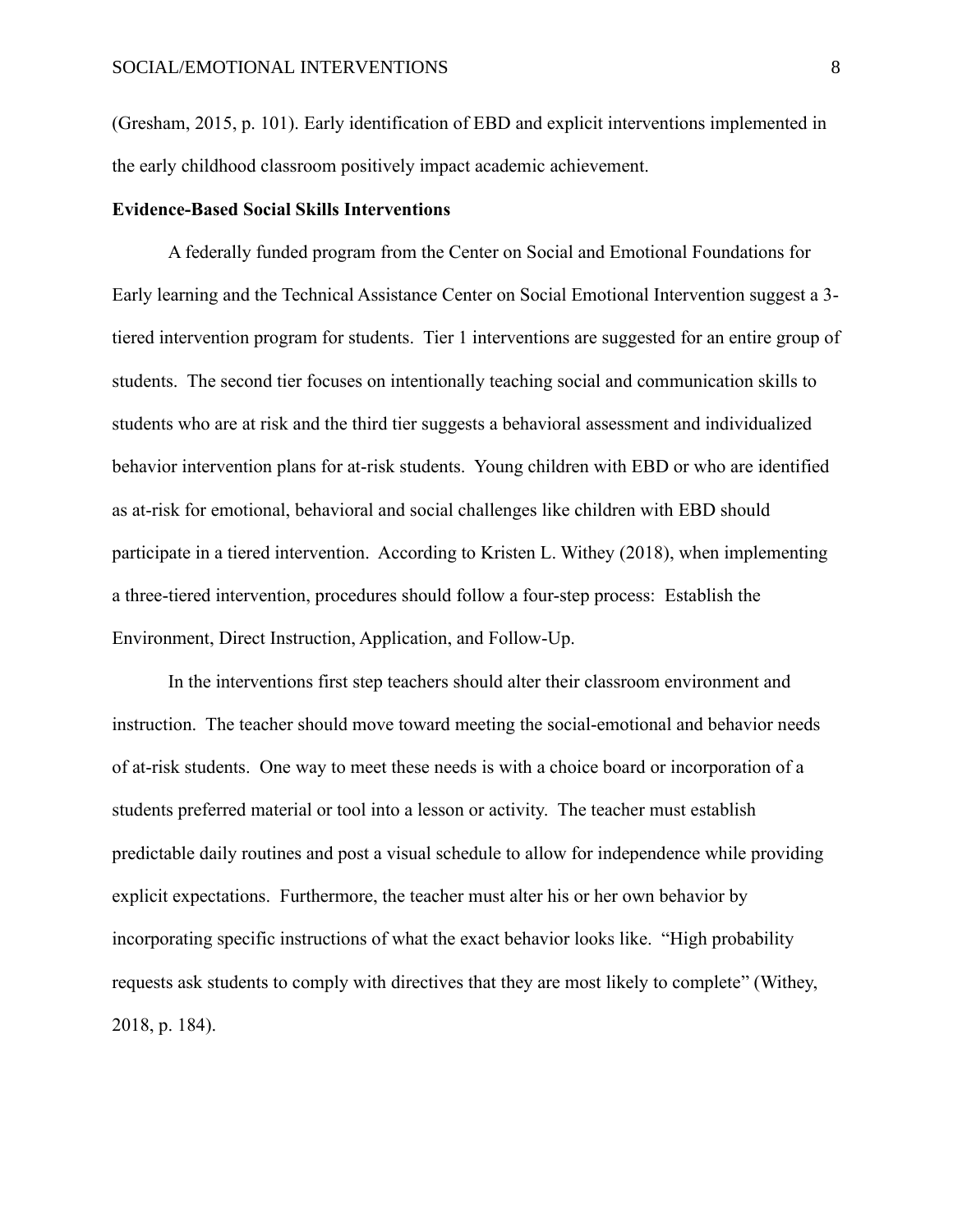(Gresham, 2015, p. 101). Early identification of EBD and explicit interventions implemented in the early childhood classroom positively impact academic achievement.

# **Evidence-Based Social Skills Interventions**

A federally funded program from the Center on Social and Emotional Foundations for Early learning and the Technical Assistance Center on Social Emotional Intervention suggest a 3 tiered intervention program for students. Tier 1 interventions are suggested for an entire group of students. The second tier focuses on intentionally teaching social and communication skills to students who are at risk and the third tier suggests a behavioral assessment and individualized behavior intervention plans for at-risk students. Young children with EBD or who are identified as at-risk for emotional, behavioral and social challenges like children with EBD should participate in a tiered intervention. According to Kristen L. Withey (2018), when implementing a three-tiered intervention, procedures should follow a four-step process: Establish the Environment, Direct Instruction, Application, and Follow-Up.

In the interventions first step teachers should alter their classroom environment and instruction. The teacher should move toward meeting the social-emotional and behavior needs of at-risk students. One way to meet these needs is with a choice board or incorporation of a students preferred material or tool into a lesson or activity. The teacher must establish predictable daily routines and post a visual schedule to allow for independence while providing explicit expectations. Furthermore, the teacher must alter his or her own behavior by incorporating specific instructions of what the exact behavior looks like. "High probability requests ask students to comply with directives that they are most likely to complete" (Withey, 2018, p. 184).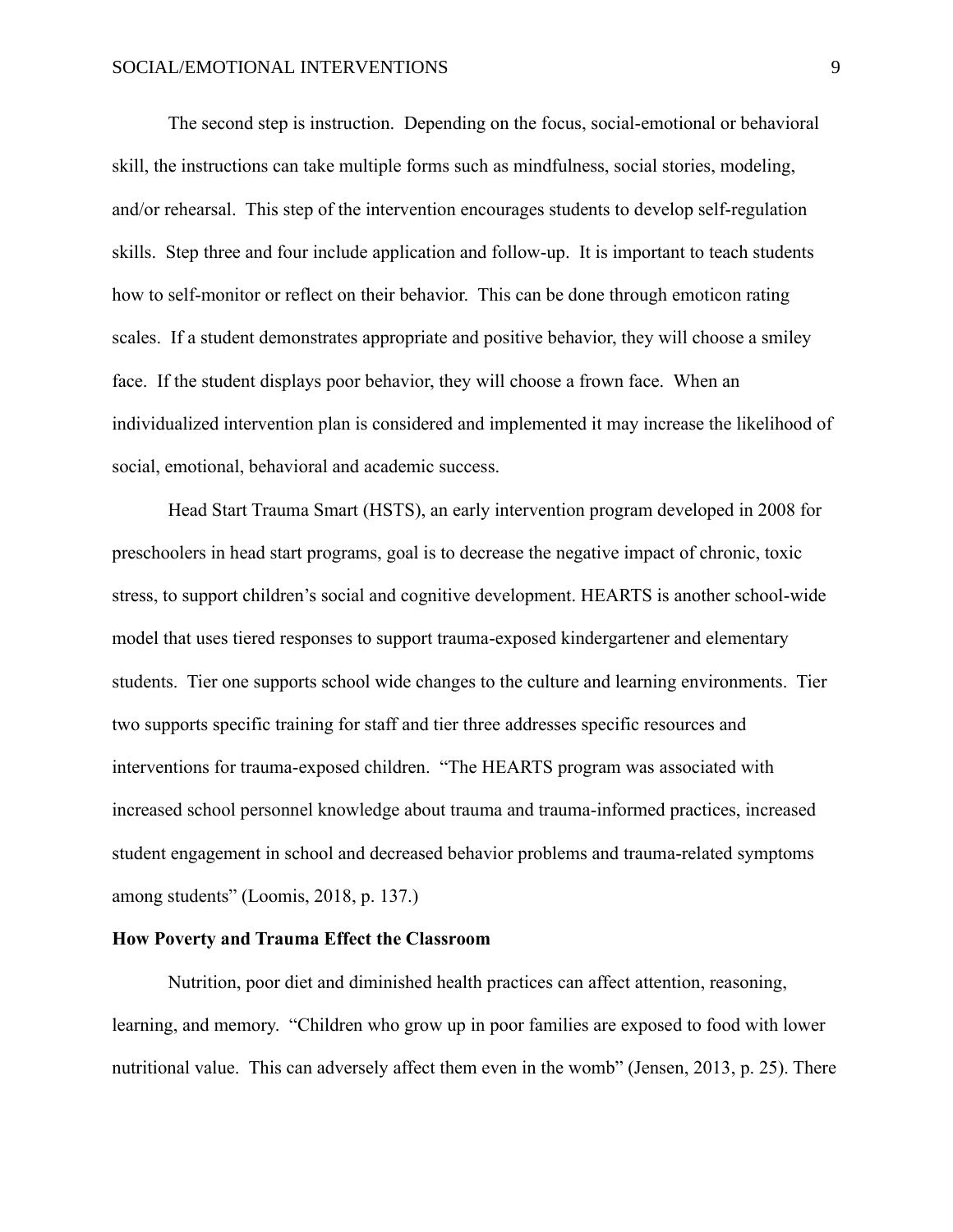The second step is instruction. Depending on the focus, social-emotional or behavioral skill, the instructions can take multiple forms such as mindfulness, social stories, modeling, and/or rehearsal. This step of the intervention encourages students to develop self-regulation skills. Step three and four include application and follow-up. It is important to teach students how to self-monitor or reflect on their behavior. This can be done through emoticon rating scales. If a student demonstrates appropriate and positive behavior, they will choose a smiley face. If the student displays poor behavior, they will choose a frown face. When an individualized intervention plan is considered and implemented it may increase the likelihood of social, emotional, behavioral and academic success.

Head Start Trauma Smart (HSTS), an early intervention program developed in 2008 for preschoolers in head start programs, goal is to decrease the negative impact of chronic, toxic stress, to support children's social and cognitive development. HEARTS is another school-wide model that uses tiered responses to support trauma-exposed kindergartener and elementary students. Tier one supports school wide changes to the culture and learning environments. Tier two supports specific training for staff and tier three addresses specific resources and interventions for trauma-exposed children. "The HEARTS program was associated with increased school personnel knowledge about trauma and trauma-informed practices, increased student engagement in school and decreased behavior problems and trauma-related symptoms among students" (Loomis, 2018, p. 137.)

#### **How Poverty and Trauma Effect the Classroom**

Nutrition, poor diet and diminished health practices can affect attention, reasoning, learning, and memory. "Children who grow up in poor families are exposed to food with lower nutritional value. This can adversely affect them even in the womb" (Jensen, 2013, p. 25). There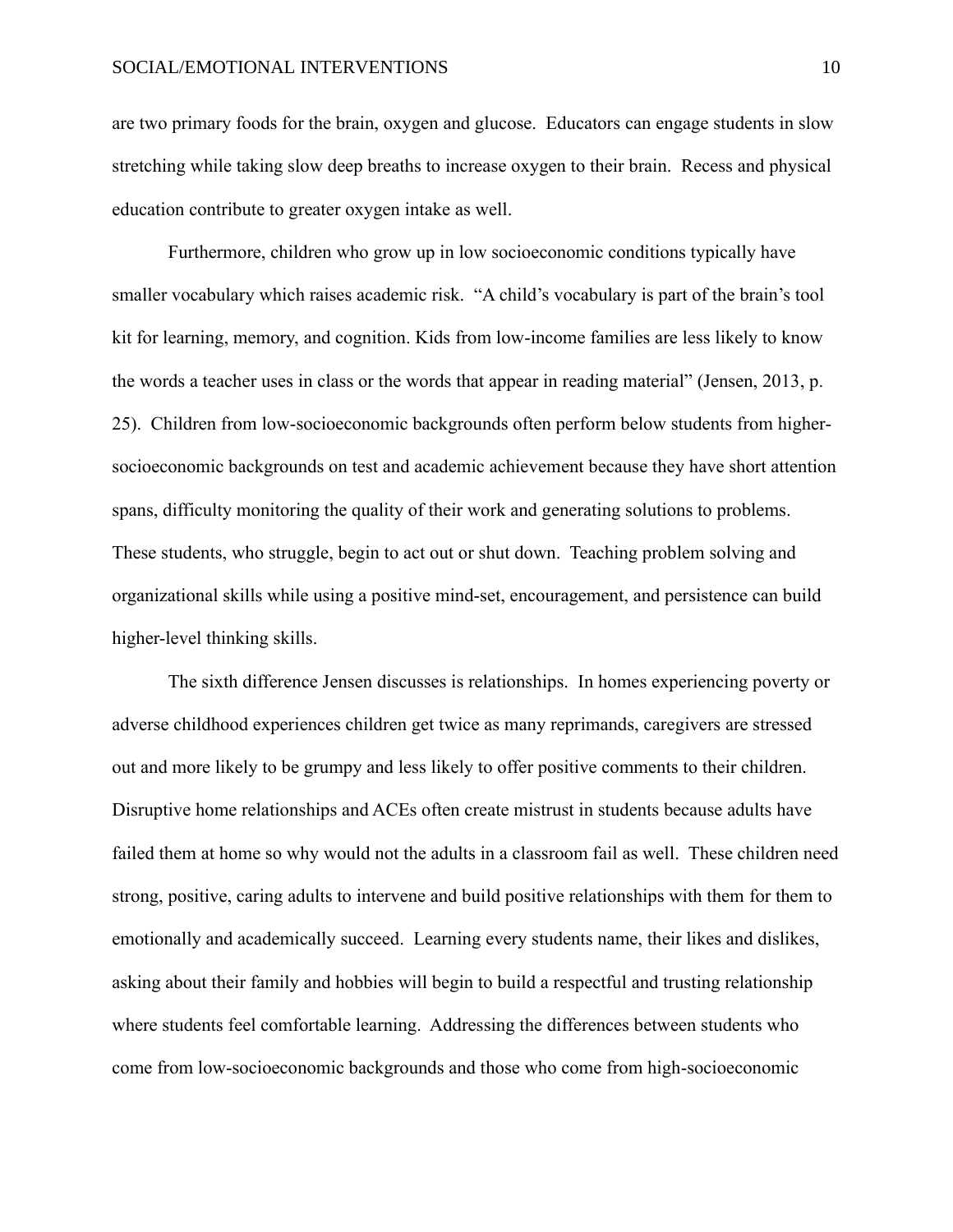are two primary foods for the brain, oxygen and glucose. Educators can engage students in slow stretching while taking slow deep breaths to increase oxygen to their brain. Recess and physical education contribute to greater oxygen intake as well.

Furthermore, children who grow up in low socioeconomic conditions typically have smaller vocabulary which raises academic risk. "A child's vocabulary is part of the brain's tool kit for learning, memory, and cognition. Kids from low-income families are less likely to know the words a teacher uses in class or the words that appear in reading material" (Jensen, 2013, p. 25). Children from low-socioeconomic backgrounds often perform below students from highersocioeconomic backgrounds on test and academic achievement because they have short attention spans, difficulty monitoring the quality of their work and generating solutions to problems. These students, who struggle, begin to act out or shut down. Teaching problem solving and organizational skills while using a positive mind-set, encouragement, and persistence can build higher-level thinking skills.

The sixth difference Jensen discusses is relationships. In homes experiencing poverty or adverse childhood experiences children get twice as many reprimands, caregivers are stressed out and more likely to be grumpy and less likely to offer positive comments to their children. Disruptive home relationships and ACEs often create mistrust in students because adults have failed them at home so why would not the adults in a classroom fail as well. These children need strong, positive, caring adults to intervene and build positive relationships with them for them to emotionally and academically succeed. Learning every students name, their likes and dislikes, asking about their family and hobbies will begin to build a respectful and trusting relationship where students feel comfortable learning. Addressing the differences between students who come from low-socioeconomic backgrounds and those who come from high-socioeconomic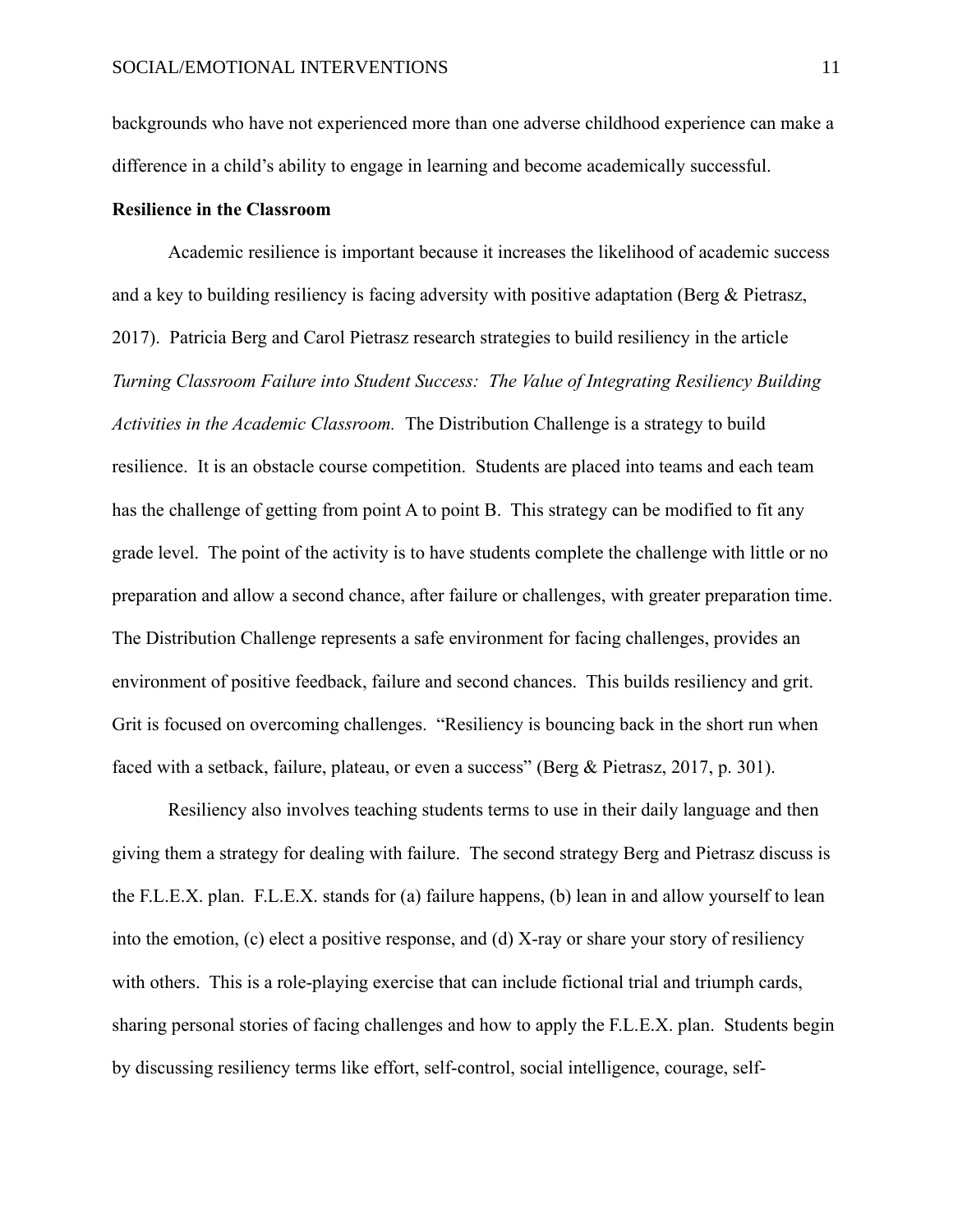backgrounds who have not experienced more than one adverse childhood experience can make a difference in a child's ability to engage in learning and become academically successful.

# **Resilience in the Classroom**

Academic resilience is important because it increases the likelihood of academic success and a key to building resiliency is facing adversity with positive adaptation (Berg & Pietrasz, 2017). Patricia Berg and Carol Pietrasz research strategies to build resiliency in the article *Turning Classroom Failure into Student Success: The Value of Integrating Resiliency Building Activities in the Academic Classroom.* The Distribution Challenge is a strategy to build resilience. It is an obstacle course competition. Students are placed into teams and each team has the challenge of getting from point A to point B. This strategy can be modified to fit any grade level. The point of the activity is to have students complete the challenge with little or no preparation and allow a second chance, after failure or challenges, with greater preparation time. The Distribution Challenge represents a safe environment for facing challenges, provides an environment of positive feedback, failure and second chances. This builds resiliency and grit. Grit is focused on overcoming challenges. "Resiliency is bouncing back in the short run when faced with a setback, failure, plateau, or even a success" (Berg & Pietrasz, 2017, p. 301).

Resiliency also involves teaching students terms to use in their daily language and then giving them a strategy for dealing with failure. The second strategy Berg and Pietrasz discuss is the F.L.E.X. plan. F.L.E.X. stands for (a) failure happens, (b) lean in and allow yourself to lean into the emotion, (c) elect a positive response, and (d) X-ray or share your story of resiliency with others. This is a role-playing exercise that can include fictional trial and triumph cards, sharing personal stories of facing challenges and how to apply the F.L.E.X. plan. Students begin by discussing resiliency terms like effort, self-control, social intelligence, courage, self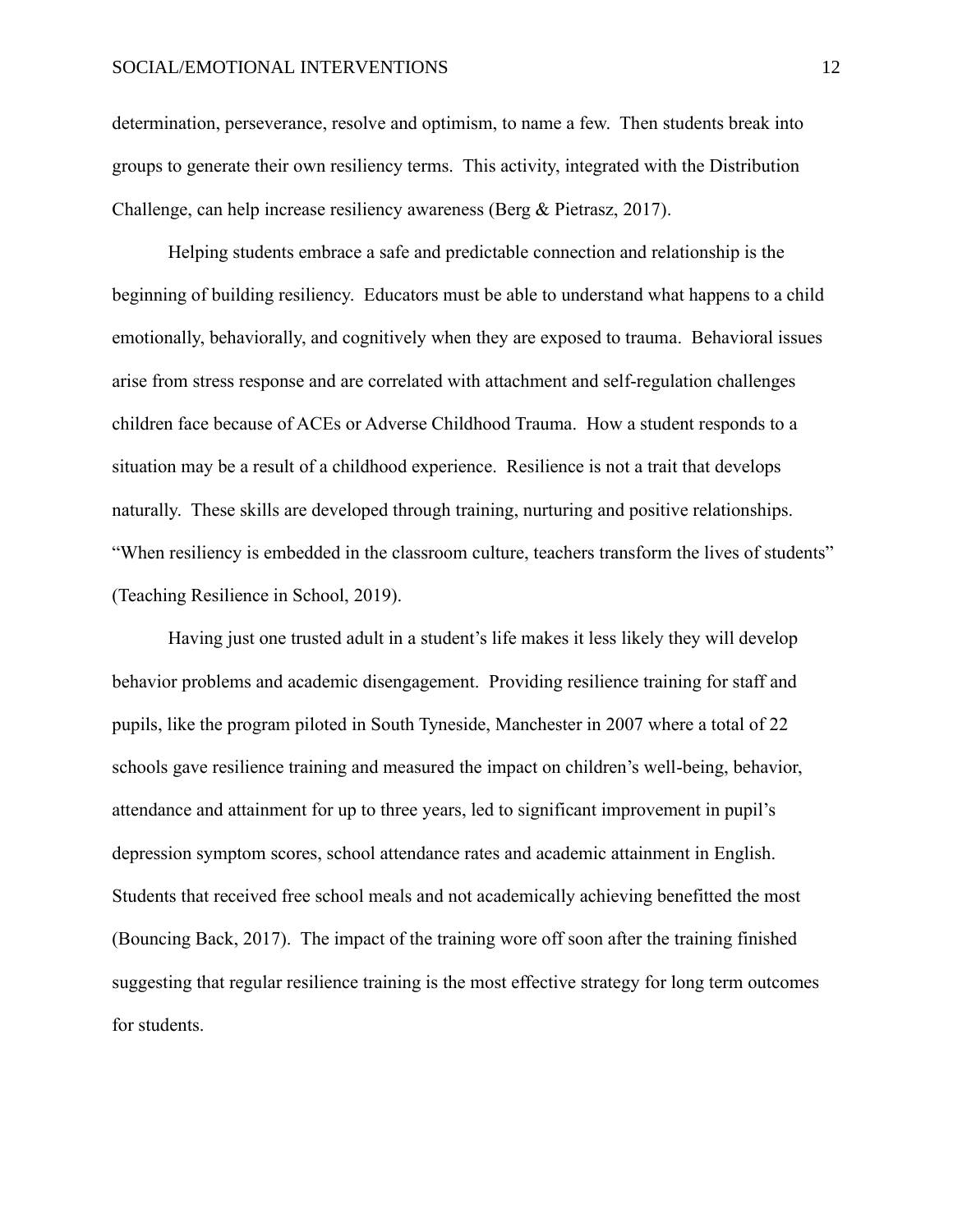determination, perseverance, resolve and optimism, to name a few. Then students break into groups to generate their own resiliency terms. This activity, integrated with the Distribution Challenge, can help increase resiliency awareness (Berg & Pietrasz, 2017).

Helping students embrace a safe and predictable connection and relationship is the beginning of building resiliency. Educators must be able to understand what happens to a child emotionally, behaviorally, and cognitively when they are exposed to trauma. Behavioral issues arise from stress response and are correlated with attachment and self-regulation challenges children face because of ACEs or Adverse Childhood Trauma. How a student responds to a situation may be a result of a childhood experience. Resilience is not a trait that develops naturally. These skills are developed through training, nurturing and positive relationships. "When resiliency is embedded in the classroom culture, teachers transform the lives of students" (Teaching Resilience in School, 2019).

Having just one trusted adult in a student's life makes it less likely they will develop behavior problems and academic disengagement. Providing resilience training for staff and pupils, like the program piloted in South Tyneside, Manchester in 2007 where a total of 22 schools gave resilience training and measured the impact on children's well-being, behavior, attendance and attainment for up to three years, led to significant improvement in pupil's depression symptom scores, school attendance rates and academic attainment in English. Students that received free school meals and not academically achieving benefitted the most (Bouncing Back, 2017). The impact of the training wore off soon after the training finished suggesting that regular resilience training is the most effective strategy for long term outcomes for students.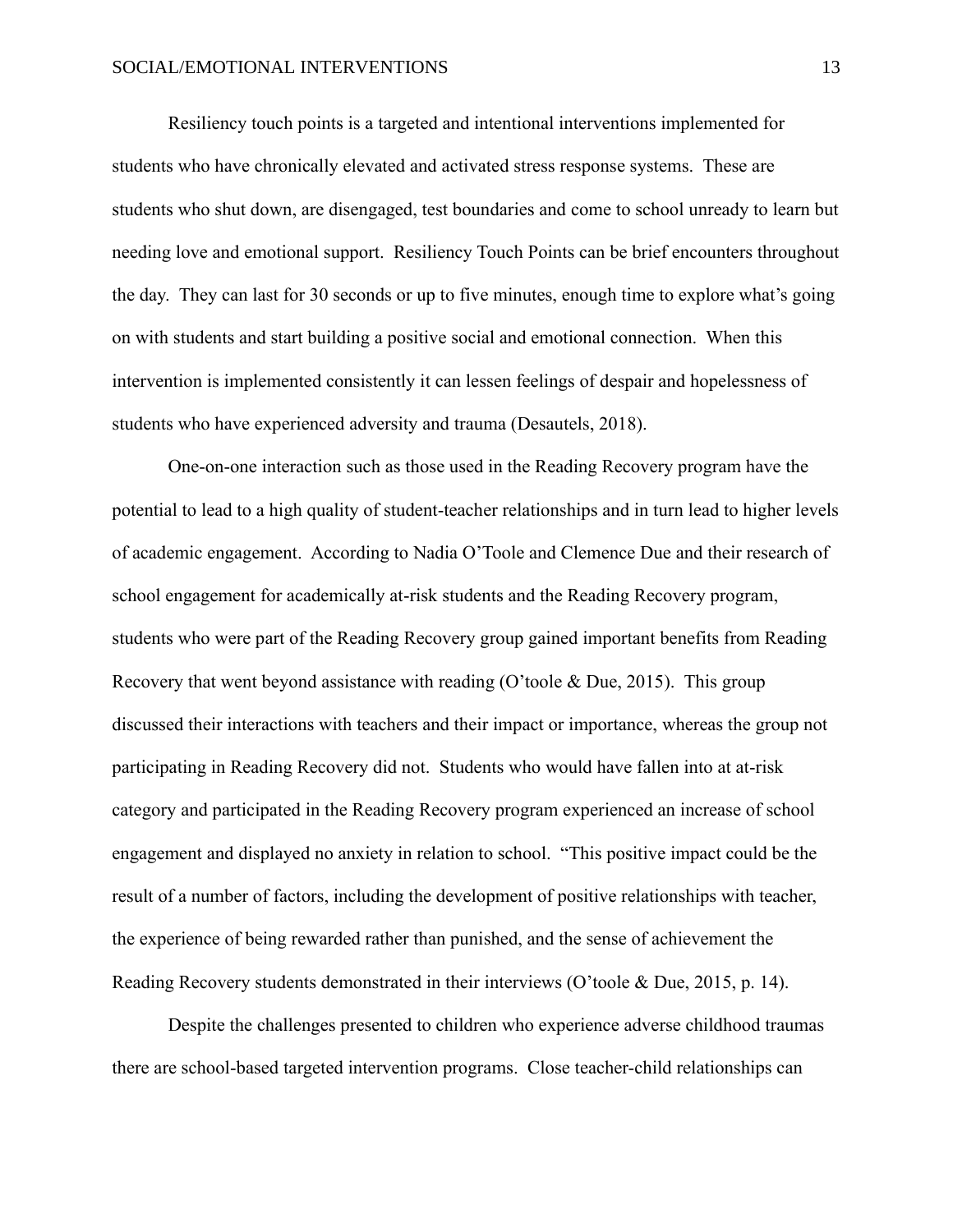Resiliency touch points is a targeted and intentional interventions implemented for students who have chronically elevated and activated stress response systems. These are students who shut down, are disengaged, test boundaries and come to school unready to learn but needing love and emotional support. Resiliency Touch Points can be brief encounters throughout the day. They can last for 30 seconds or up to five minutes, enough time to explore what's going on with students and start building a positive social and emotional connection. When this intervention is implemented consistently it can lessen feelings of despair and hopelessness of students who have experienced adversity and trauma (Desautels, 2018).

One-on-one interaction such as those used in the Reading Recovery program have the potential to lead to a high quality of student-teacher relationships and in turn lead to higher levels of academic engagement. According to Nadia O'Toole and Clemence Due and their research of school engagement for academically at-risk students and the Reading Recovery program, students who were part of the Reading Recovery group gained important benefits from Reading Recovery that went beyond assistance with reading (O'toole & Due, 2015). This group discussed their interactions with teachers and their impact or importance, whereas the group not participating in Reading Recovery did not. Students who would have fallen into at at-risk category and participated in the Reading Recovery program experienced an increase of school engagement and displayed no anxiety in relation to school. "This positive impact could be the result of a number of factors, including the development of positive relationships with teacher, the experience of being rewarded rather than punished, and the sense of achievement the Reading Recovery students demonstrated in their interviews (O'toole & Due, 2015, p. 14).

Despite the challenges presented to children who experience adverse childhood traumas there are school-based targeted intervention programs. Close teacher-child relationships can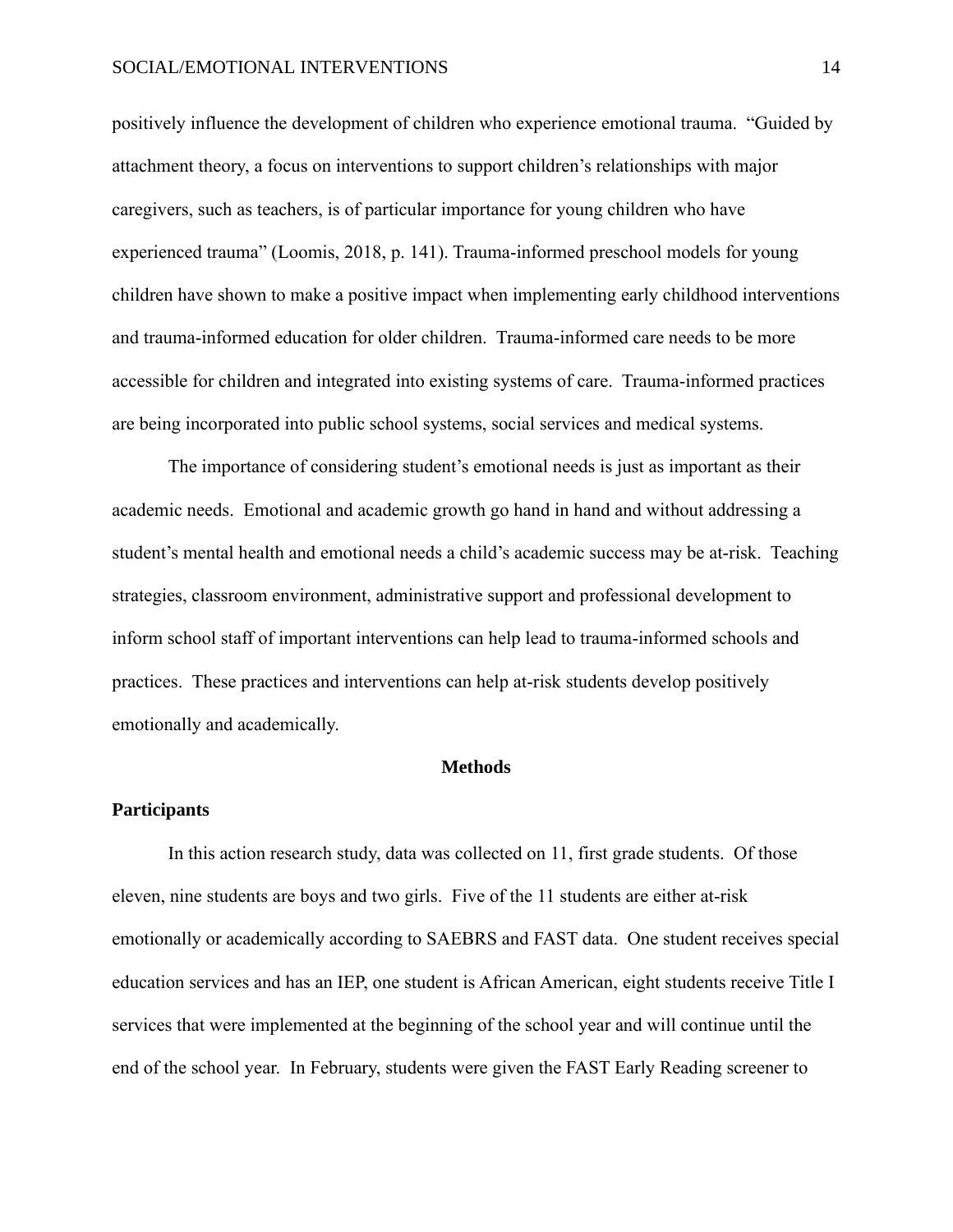positively influence the development of children who experience emotional trauma. "Guided by attachment theory, a focus on interventions to support children's relationships with major caregivers, such as teachers, is of particular importance for young children who have experienced trauma" (Loomis, 2018, p. 141). Trauma-informed preschool models for young children have shown to make a positive impact when implementing early childhood interventions and trauma-informed education for older children. Trauma-informed care needs to be more accessible for children and integrated into existing systems of care. Trauma-informed practices are being incorporated into public school systems, social services and medical systems.

The importance of considering student's emotional needs is just as important as their academic needs. Emotional and academic growth go hand in hand and without addressing a student's mental health and emotional needs a child's academic success may be at-risk. Teaching strategies, classroom environment, administrative support and professional development to inform school staff of important interventions can help lead to trauma-informed schools and practices. These practices and interventions can help at-risk students develop positively emotionally and academically.

# **Methods**

#### **Participants**

In this action research study, data was collected on 11, first grade students. Of those eleven, nine students are boys and two girls. Five of the 11 students are either at-risk emotionally or academically according to SAEBRS and FAST data. One student receives special education services and has an IEP, one student is African American, eight students receive Title I services that were implemented at the beginning of the school year and will continue until the end of the school year. In February, students were given the FAST Early Reading screener to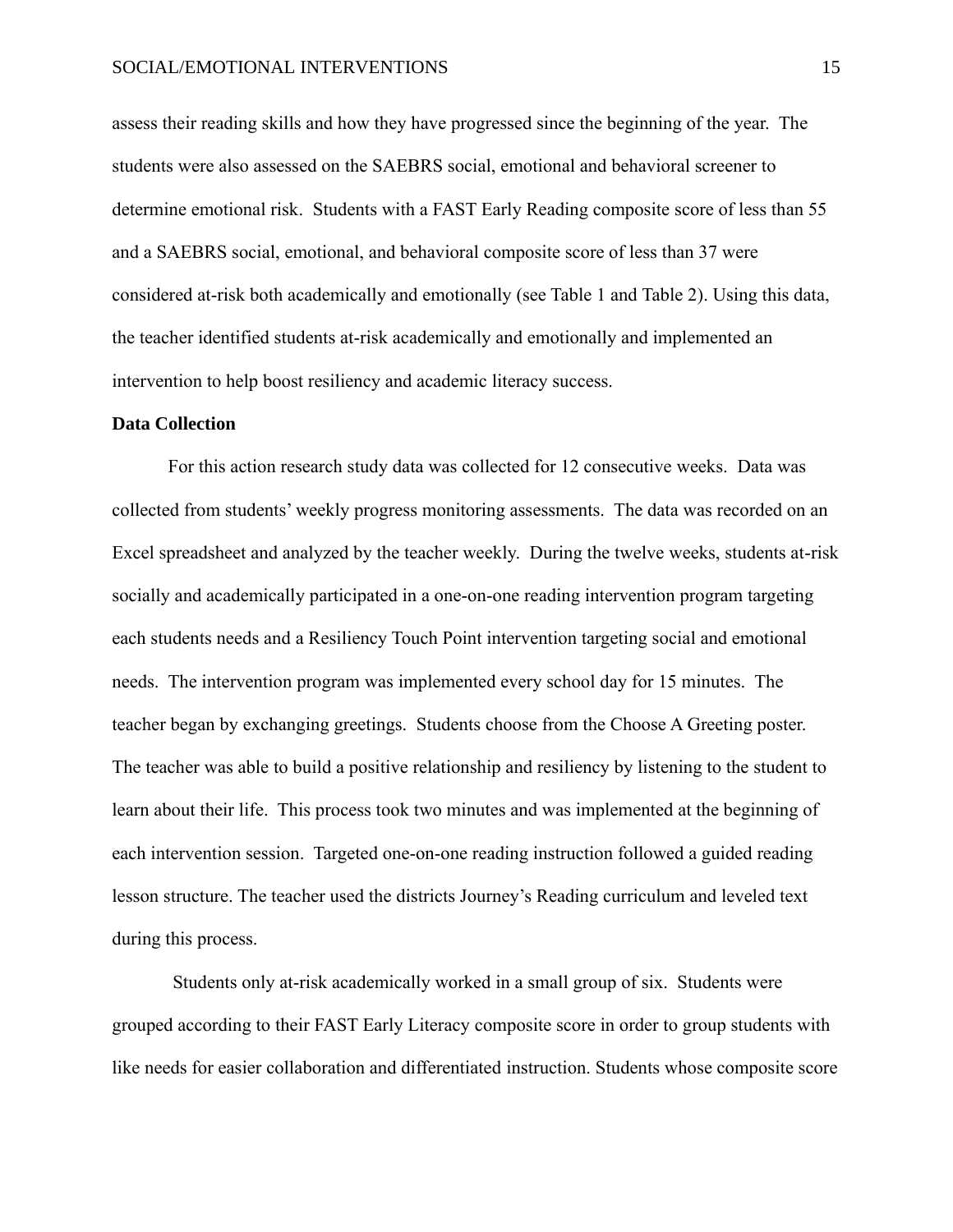assess their reading skills and how they have progressed since the beginning of the year. The students were also assessed on the SAEBRS social, emotional and behavioral screener to determine emotional risk. Students with a FAST Early Reading composite score of less than 55 and a SAEBRS social, emotional, and behavioral composite score of less than 37 were considered at-risk both academically and emotionally (see Table 1 and Table 2). Using this data, the teacher identified students at-risk academically and emotionally and implemented an intervention to help boost resiliency and academic literacy success.

# **Data Collection**

For this action research study data was collected for 12 consecutive weeks. Data was collected from students' weekly progress monitoring assessments. The data was recorded on an Excel spreadsheet and analyzed by the teacher weekly. During the twelve weeks, students at-risk socially and academically participated in a one-on-one reading intervention program targeting each students needs and a Resiliency Touch Point intervention targeting social and emotional needs. The intervention program was implemented every school day for 15 minutes. The teacher began by exchanging greetings. Students choose from the Choose A Greeting poster. The teacher was able to build a positive relationship and resiliency by listening to the student to learn about their life. This process took two minutes and was implemented at the beginning of each intervention session. Targeted one-on-one reading instruction followed a guided reading lesson structure. The teacher used the districts Journey's Reading curriculum and leveled text during this process.

Students only at-risk academically worked in a small group of six. Students were grouped according to their FAST Early Literacy composite score in order to group students with like needs for easier collaboration and differentiated instruction. Students whose composite score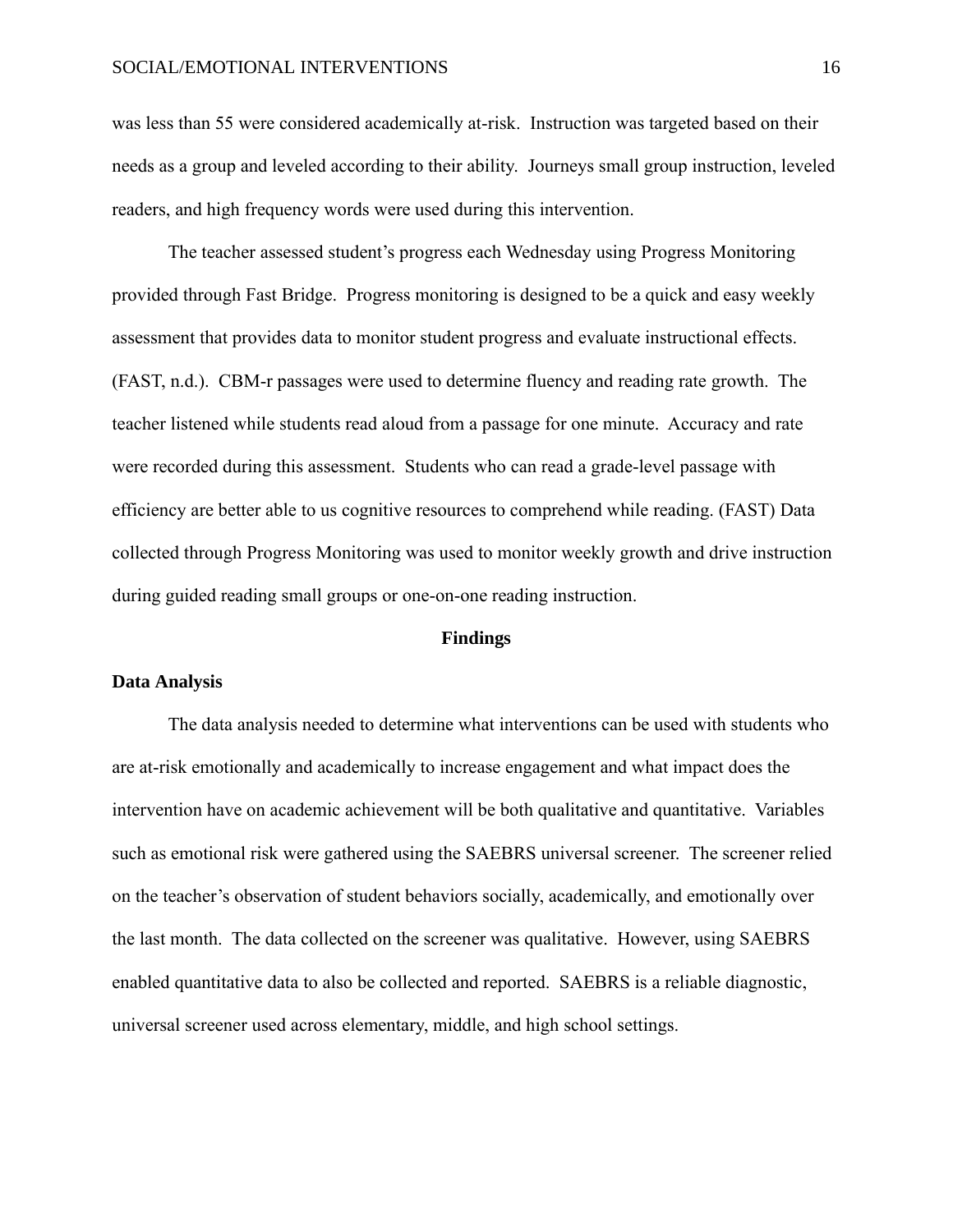# SOCIAL/EMOTIONAL INTERVENTIONS 16

was less than 55 were considered academically at-risk. Instruction was targeted based on their needs as a group and leveled according to their ability. Journeys small group instruction, leveled readers, and high frequency words were used during this intervention.

The teacher assessed student's progress each Wednesday using Progress Monitoring provided through Fast Bridge. Progress monitoring is designed to be a quick and easy weekly assessment that provides data to monitor student progress and evaluate instructional effects. (FAST, n.d.). CBM-r passages were used to determine fluency and reading rate growth. The teacher listened while students read aloud from a passage for one minute. Accuracy and rate were recorded during this assessment. Students who can read a grade-level passage with efficiency are better able to us cognitive resources to comprehend while reading. (FAST) Data collected through Progress Monitoring was used to monitor weekly growth and drive instruction during guided reading small groups or one-on-one reading instruction.

#### **Findings**

### **Data Analysis**

The data analysis needed to determine what interventions can be used with students who are at-risk emotionally and academically to increase engagement and what impact does the intervention have on academic achievement will be both qualitative and quantitative. Variables such as emotional risk were gathered using the SAEBRS universal screener. The screener relied on the teacher's observation of student behaviors socially, academically, and emotionally over the last month. The data collected on the screener was qualitative. However, using SAEBRS enabled quantitative data to also be collected and reported. SAEBRS is a reliable diagnostic, universal screener used across elementary, middle, and high school settings.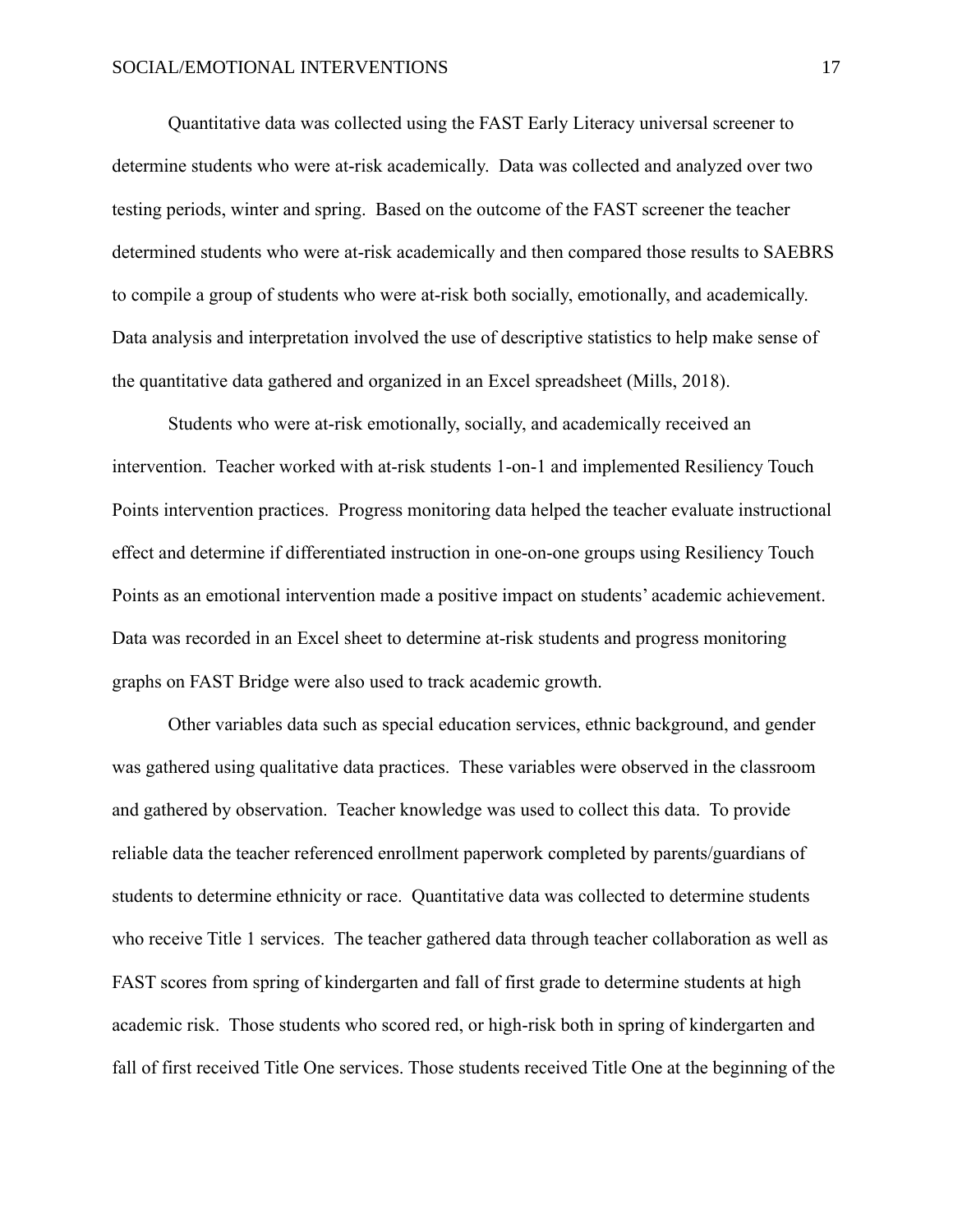Quantitative data was collected using the FAST Early Literacy universal screener to determine students who were at-risk academically. Data was collected and analyzed over two testing periods, winter and spring. Based on the outcome of the FAST screener the teacher determined students who were at-risk academically and then compared those results to SAEBRS to compile a group of students who were at-risk both socially, emotionally, and academically. Data analysis and interpretation involved the use of descriptive statistics to help make sense of the quantitative data gathered and organized in an Excel spreadsheet (Mills, 2018).

Students who were at-risk emotionally, socially, and academically received an intervention. Teacher worked with at-risk students 1-on-1 and implemented Resiliency Touch Points intervention practices. Progress monitoring data helped the teacher evaluate instructional effect and determine if differentiated instruction in one-on-one groups using Resiliency Touch Points as an emotional intervention made a positive impact on students' academic achievement. Data was recorded in an Excel sheet to determine at-risk students and progress monitoring graphs on FAST Bridge were also used to track academic growth.

Other variables data such as special education services, ethnic background, and gender was gathered using qualitative data practices. These variables were observed in the classroom and gathered by observation. Teacher knowledge was used to collect this data. To provide reliable data the teacher referenced enrollment paperwork completed by parents/guardians of students to determine ethnicity or race. Quantitative data was collected to determine students who receive Title 1 services. The teacher gathered data through teacher collaboration as well as FAST scores from spring of kindergarten and fall of first grade to determine students at high academic risk. Those students who scored red, or high-risk both in spring of kindergarten and fall of first received Title One services. Those students received Title One at the beginning of the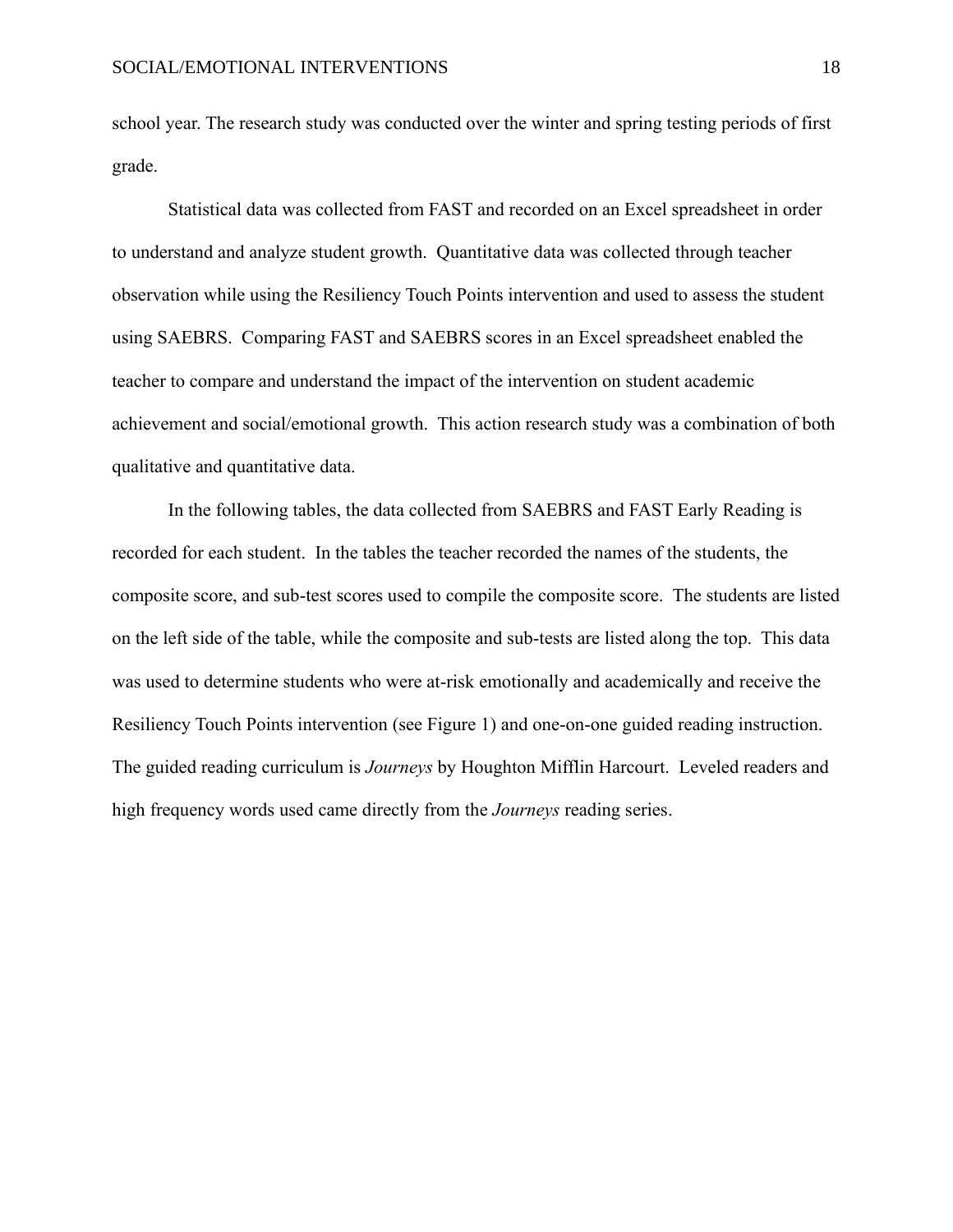school year. The research study was conducted over the winter and spring testing periods of first grade.

Statistical data was collected from FAST and recorded on an Excel spreadsheet in order to understand and analyze student growth. Quantitative data was collected through teacher observation while using the Resiliency Touch Points intervention and used to assess the student using SAEBRS. Comparing FAST and SAEBRS scores in an Excel spreadsheet enabled the teacher to compare and understand the impact of the intervention on student academic achievement and social/emotional growth. This action research study was a combination of both qualitative and quantitative data.

In the following tables, the data collected from SAEBRS and FAST Early Reading is recorded for each student. In the tables the teacher recorded the names of the students, the composite score, and sub-test scores used to compile the composite score. The students are listed on the left side of the table, while the composite and sub-tests are listed along the top. This data was used to determine students who were at-risk emotionally and academically and receive the Resiliency Touch Points intervention (see Figure 1) and one-on-one guided reading instruction. The guided reading curriculum is *Journeys* by Houghton Mifflin Harcourt. Leveled readers and high frequency words used came directly from the *Journeys* reading series.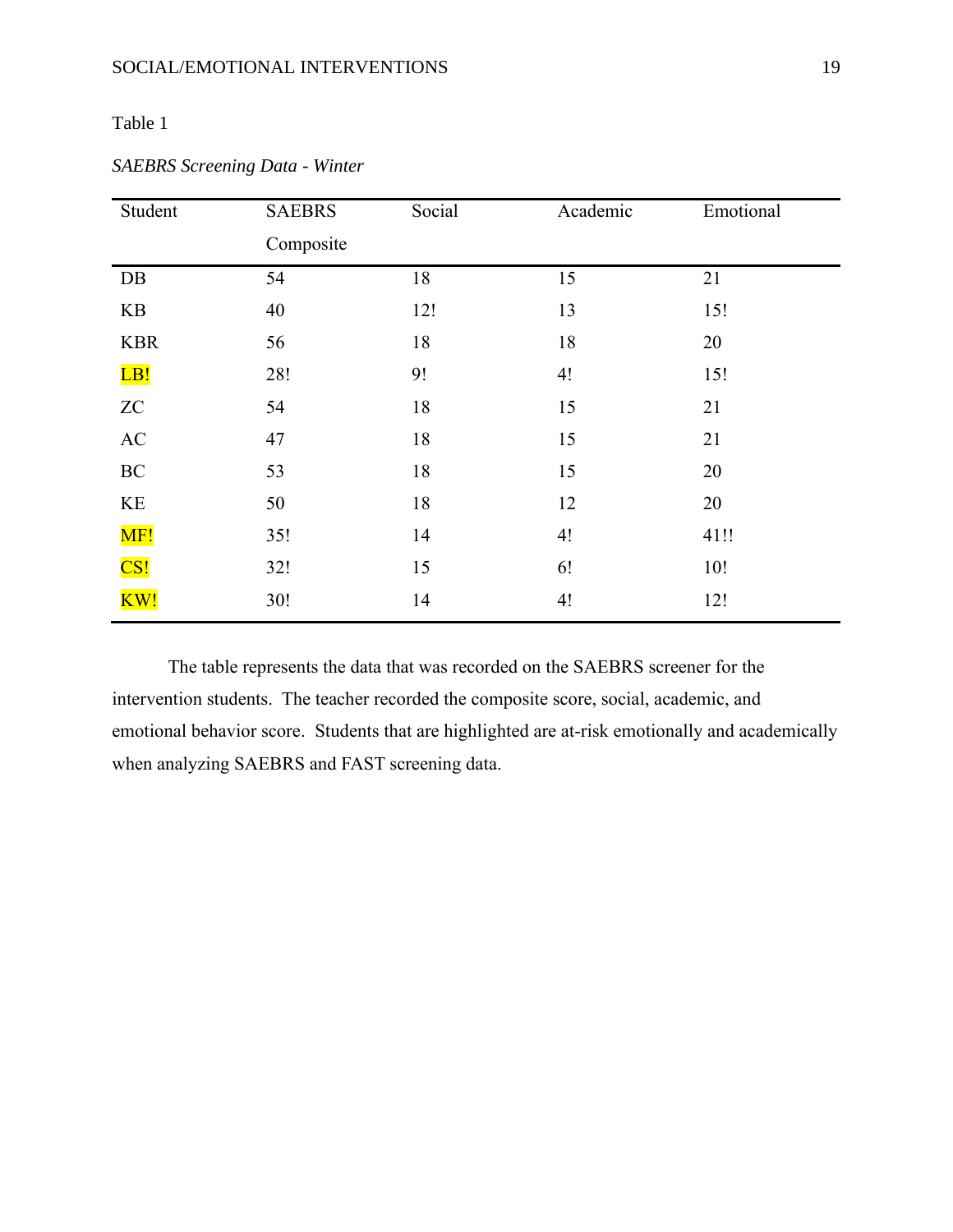# Table 1

| Student                | <b>SAEBRS</b> | Social | Academic | Emotional |
|------------------------|---------------|--------|----------|-----------|
|                        | Composite     |        |          |           |
| DB                     | 54            | 18     | 15       | 21        |
| KB                     | 40            | 12!    | 13       | 15!       |
| <b>KBR</b>             | 56            | 18     | 18       | 20        |
| LB!                    | 28!           | 9!     | 4!       | 15!       |
| ${\rm ZC}$             | 54            | 18     | 15       | 21        |
| $\mathbf{A}\mathbf{C}$ | 47            | 18     | 15       | 21        |
| $\rm BC$               | 53            | 18     | 15       | 20        |
| KE                     | 50            | 18     | 12       | 20        |
| MF!                    | 35!           | 14     | 4!       | 41!!      |
| CS!                    | 32!           | 15     | 6!       | 10!       |
| KW!                    | 30!           | 14     | 4!       | 12!       |

# *SAEBRS Screening Data - Winter*

The table represents the data that was recorded on the SAEBRS screener for the intervention students. The teacher recorded the composite score, social, academic, and emotional behavior score. Students that are highlighted are at-risk emotionally and academically when analyzing SAEBRS and FAST screening data.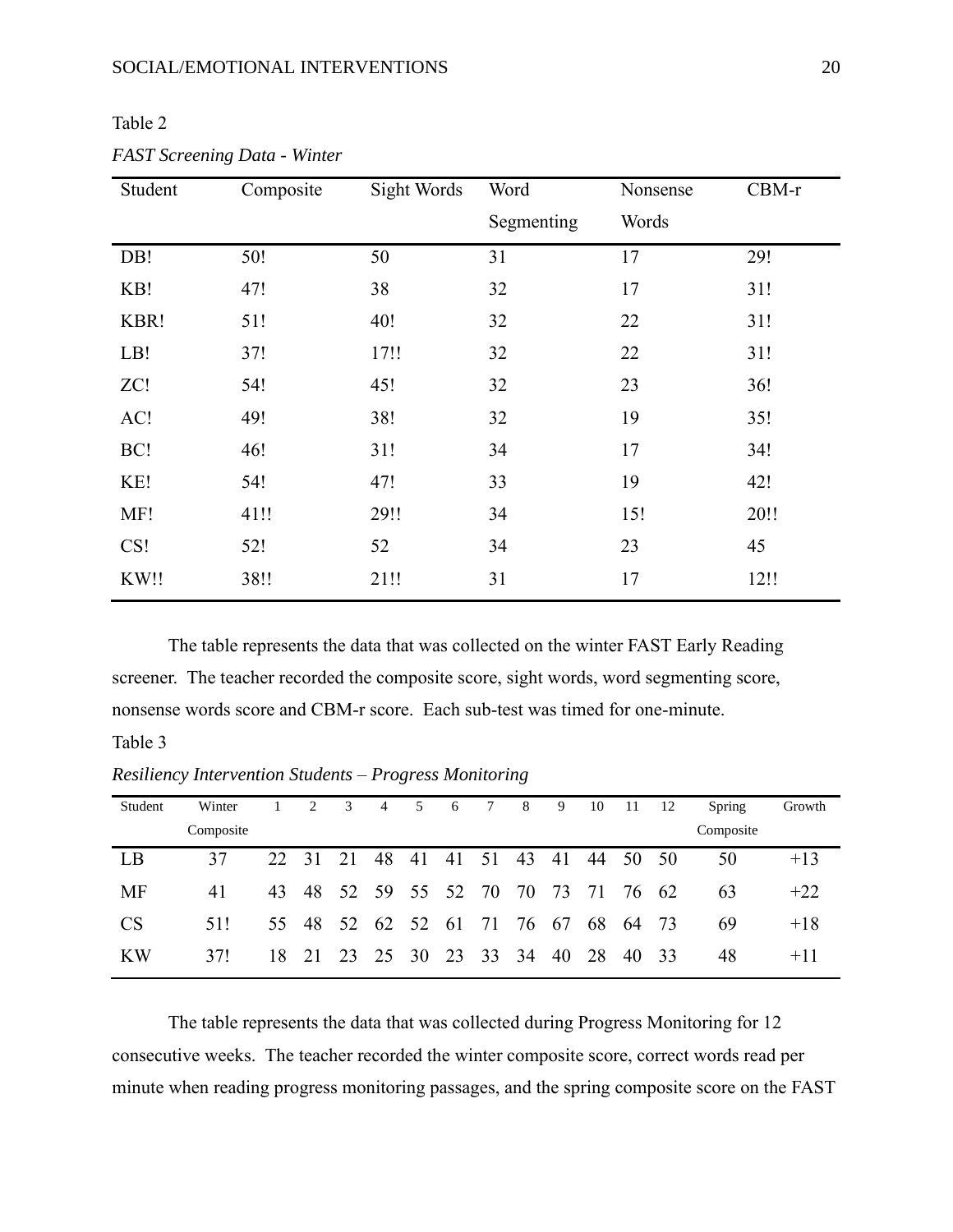| ., |  |
|----|--|
|    |  |

| Student | Composite | Sight Words | Word       | Nonsense | $CBM-r$ |
|---------|-----------|-------------|------------|----------|---------|
|         |           |             | Segmenting | Words    |         |
| DB!     | 50!       | 50          | 31         | 17       | 29!     |
| KB!     | 47!       | 38          | 32         | 17       | 31!     |
| KBR!    | 51!       | 40!         | 32         | 22       | 31!     |
| LB!     | 37!       | 17!!        | 32         | 22       | 31!     |
| ZC!     | 54!       | 45!         | 32         | 23       | 36!     |
| AC!     | 49!       | 38!         | 32         | 19       | 35!     |
| BC!     | 46!       | 31!         | 34         | 17       | 34!     |
| KE!     | 54!       | 47!         | 33         | 19       | 42!     |
| MF!     | 41!!      | 29!!        | 34         | 15!      | 20!!    |
| CS!     | 52!       | 52          | 34         | 23       | 45      |
| KW!!    | 38!!      | 21!!        | 31         | 17       | 12!!    |

*FAST Screening Data - Winter*

The table represents the data that was collected on the winter FAST Early Reading screener. The teacher recorded the composite score, sight words, word segmenting score, nonsense words score and CBM-r score. Each sub-test was timed for one-minute.

# Table 3

*Resiliency Intervention Students – Progress Monitoring*

| Student   | Winter    |       | 2     | 3                          | 4 | 5              | 6 | $7\overline{ }$ | 8 <sup>8</sup> | 9              | 10 | 11       | 12 | Spring    | Growth |
|-----------|-----------|-------|-------|----------------------------|---|----------------|---|-----------------|----------------|----------------|----|----------|----|-----------|--------|
|           | Composite |       |       |                            |   |                |   |                 |                |                |    |          |    | Composite |        |
| LB        | 37        | 22 31 |       | 21                         |   | 48 41 41 51 43 |   |                 |                | 41             |    | 44 50 50 |    | 50        | $+13$  |
| <b>MF</b> | 41        |       |       | 43 48 52 59 55 52 70 70 73 |   |                |   |                 |                |                |    | 71 76 62 |    | 63        | $+22$  |
| <b>CS</b> | 51!       |       | 55 48 | 52 62 52 61 71 76 67       |   |                |   |                 |                |                | 68 | 64 73    |    | 69        | $+18$  |
| <b>KW</b> | 371       | 18    | 21    | 23 25 30                   |   |                |   |                 |                | 23 33 34 40 28 |    | 40 33    |    | 48        | $+11$  |

The table represents the data that was collected during Progress Monitoring for 12 consecutive weeks. The teacher recorded the winter composite score, correct words read per minute when reading progress monitoring passages, and the spring composite score on the FAST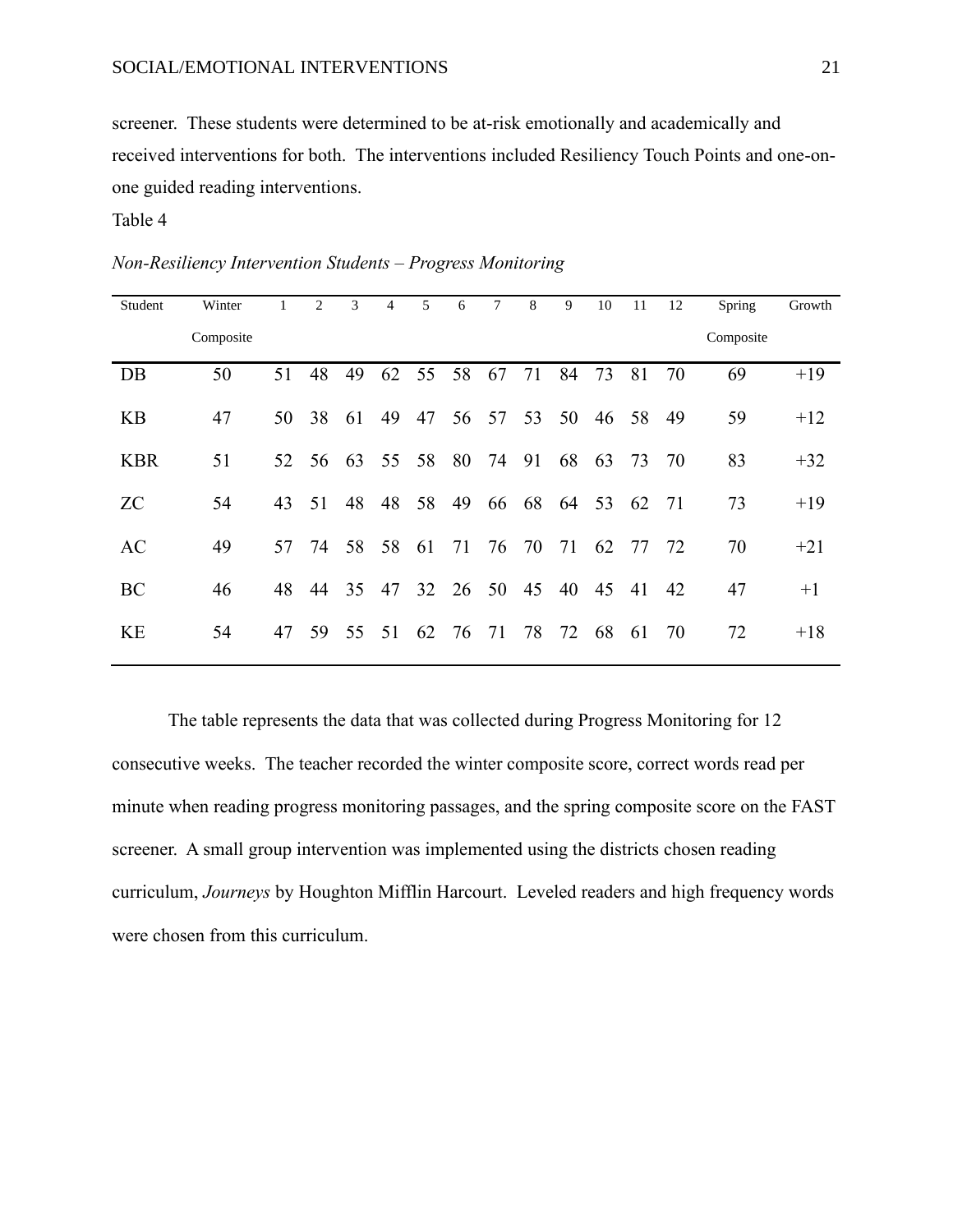screener. These students were determined to be at-risk emotionally and academically and received interventions for both. The interventions included Resiliency Touch Points and one-onone guided reading interventions.

# Table 4

| Student    | Winter    | $\mathbf{1}$ | 2  | 3     | $\overline{4}$ | 5  | 6     | 7     | 8     | 9     | 10 | 11    | 12 | Spring    | Growth |
|------------|-----------|--------------|----|-------|----------------|----|-------|-------|-------|-------|----|-------|----|-----------|--------|
|            | Composite |              |    |       |                |    |       |       |       |       |    |       |    | Composite |        |
| DB         | 50        | 51           | 48 | 49    | 62             | 55 | 58    | 67    | 71    | 84    | 73 | 81    | 70 | 69        | $+19$  |
| <b>KB</b>  | 47        | 50           | 38 | 61    | 49             | 47 |       | 56 57 |       | 53 50 |    | 46 58 | 49 | 59        | $+12$  |
| <b>KBR</b> | 51        | 52           | 56 | 63    | 55             | 58 | 80    | 74    | 91    | 68    | 63 | 73    | 70 | 83        | $+32$  |
| <b>ZC</b>  | 54        | 43           | 51 | 48    | 48             | 58 | 49    | 66    | 68    | 64    | 53 | 62    | 71 | 73        | $+19$  |
| AC         | 49        | 57           |    | 74 58 | 58             | 61 | 71    |       | 76 70 | 71    | 62 | 77    | 72 | 70        | $+21$  |
| BC         | 46        | 48           | 44 | 35    | 47             |    | 32 26 | 50    | 45    | 40    | 45 | 41    | 42 | 47        | $+1$   |
| <b>KE</b>  | 54        | 47           | 59 | 55    | 51             | 62 | 76    | 71    | 78    | 72    | 68 | 61    | 70 | 72        | $+18$  |

*Non-Resiliency Intervention Students – Progress Monitoring*

The table represents the data that was collected during Progress Monitoring for 12 consecutive weeks. The teacher recorded the winter composite score, correct words read per minute when reading progress monitoring passages, and the spring composite score on the FAST screener. A small group intervention was implemented using the districts chosen reading curriculum, *Journeys* by Houghton Mifflin Harcourt. Leveled readers and high frequency words were chosen from this curriculum.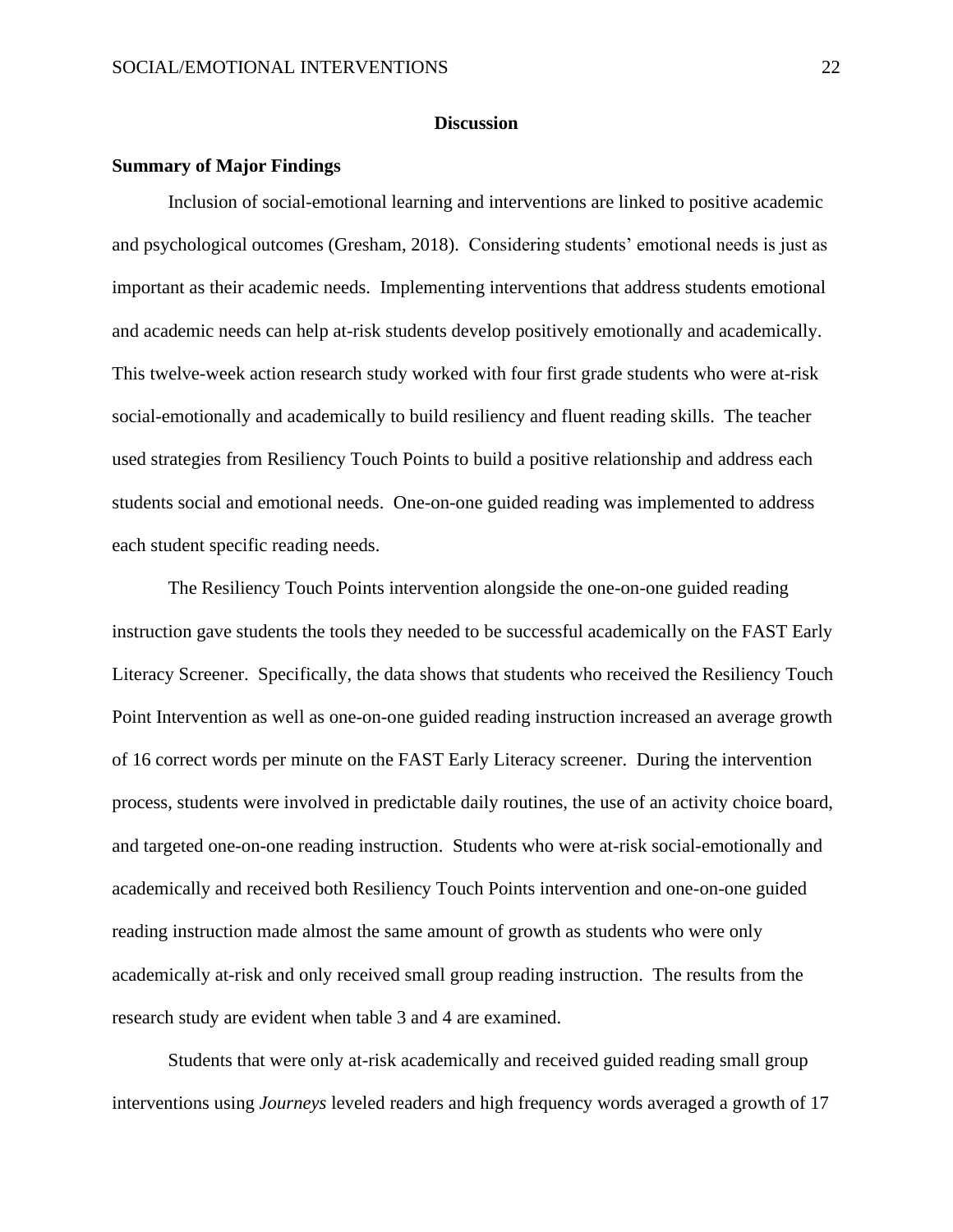# **Discussion**

# <span id="page-22-0"></span>**Summary of Major Findings**

Inclusion of social-emotional learning and interventions are linked to positive academic and psychological outcomes (Gresham, 2018). Considering students' emotional needs is just as important as their academic needs. Implementing interventions that address students emotional and academic needs can help at-risk students develop positively emotionally and academically. This twelve-week action research study worked with four first grade students who were at-risk social-emotionally and academically to build resiliency and fluent reading skills. The teacher used strategies from Resiliency Touch Points to build a positive relationship and address each students social and emotional needs. One-on-one guided reading was implemented to address each student specific reading needs.

The Resiliency Touch Points intervention alongside the one-on-one guided reading instruction gave students the tools they needed to be successful academically on the FAST Early Literacy Screener. Specifically, the data shows that students who received the Resiliency Touch Point Intervention as well as one-on-one guided reading instruction increased an average growth of 16 correct words per minute on the FAST Early Literacy screener. During the intervention process, students were involved in predictable daily routines, the use of an activity choice board, and targeted one-on-one reading instruction. Students who were at-risk social-emotionally and academically and received both Resiliency Touch Points intervention and one-on-one guided reading instruction made almost the same amount of growth as students who were only academically at-risk and only received small group reading instruction. The results from the research study are evident when table 3 and 4 are examined.

Students that were only at-risk academically and received guided reading small group interventions using *Journeys* leveled readers and high frequency words averaged a growth of 17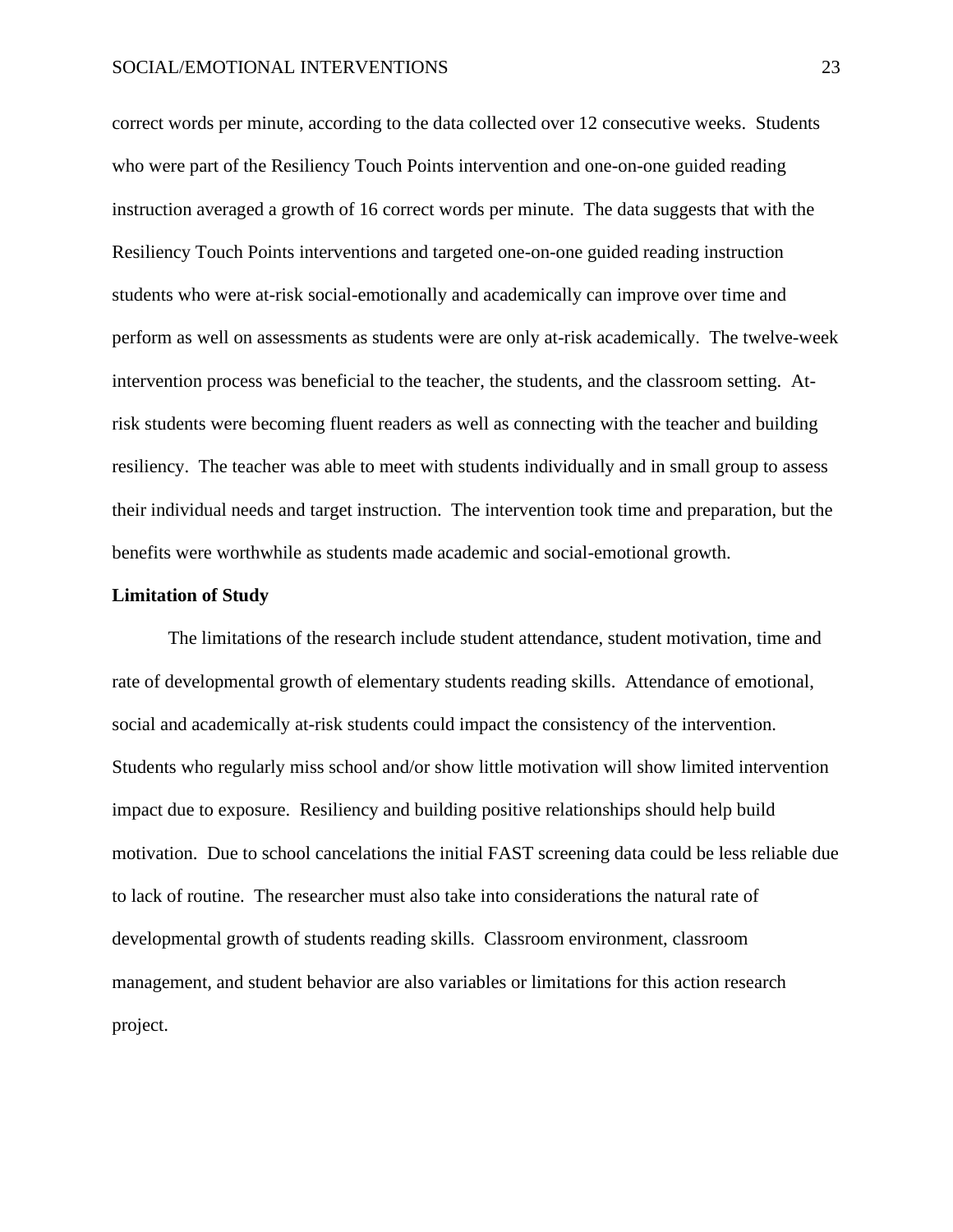correct words per minute, according to the data collected over 12 consecutive weeks. Students who were part of the Resiliency Touch Points intervention and one-on-one guided reading instruction averaged a growth of 16 correct words per minute. The data suggests that with the Resiliency Touch Points interventions and targeted one-on-one guided reading instruction students who were at-risk social-emotionally and academically can improve over time and perform as well on assessments as students were are only at-risk academically. The twelve-week intervention process was beneficial to the teacher, the students, and the classroom setting. Atrisk students were becoming fluent readers as well as connecting with the teacher and building resiliency. The teacher was able to meet with students individually and in small group to assess their individual needs and target instruction. The intervention took time and preparation, but the benefits were worthwhile as students made academic and social-emotional growth.

# **Limitation of Study**

The limitations of the research include student attendance, student motivation, time and rate of developmental growth of elementary students reading skills. Attendance of emotional, social and academically at-risk students could impact the consistency of the intervention. Students who regularly miss school and/or show little motivation will show limited intervention impact due to exposure. Resiliency and building positive relationships should help build motivation. Due to school cancelations the initial FAST screening data could be less reliable due to lack of routine. The researcher must also take into considerations the natural rate of developmental growth of students reading skills. Classroom environment, classroom management, and student behavior are also variables or limitations for this action research project.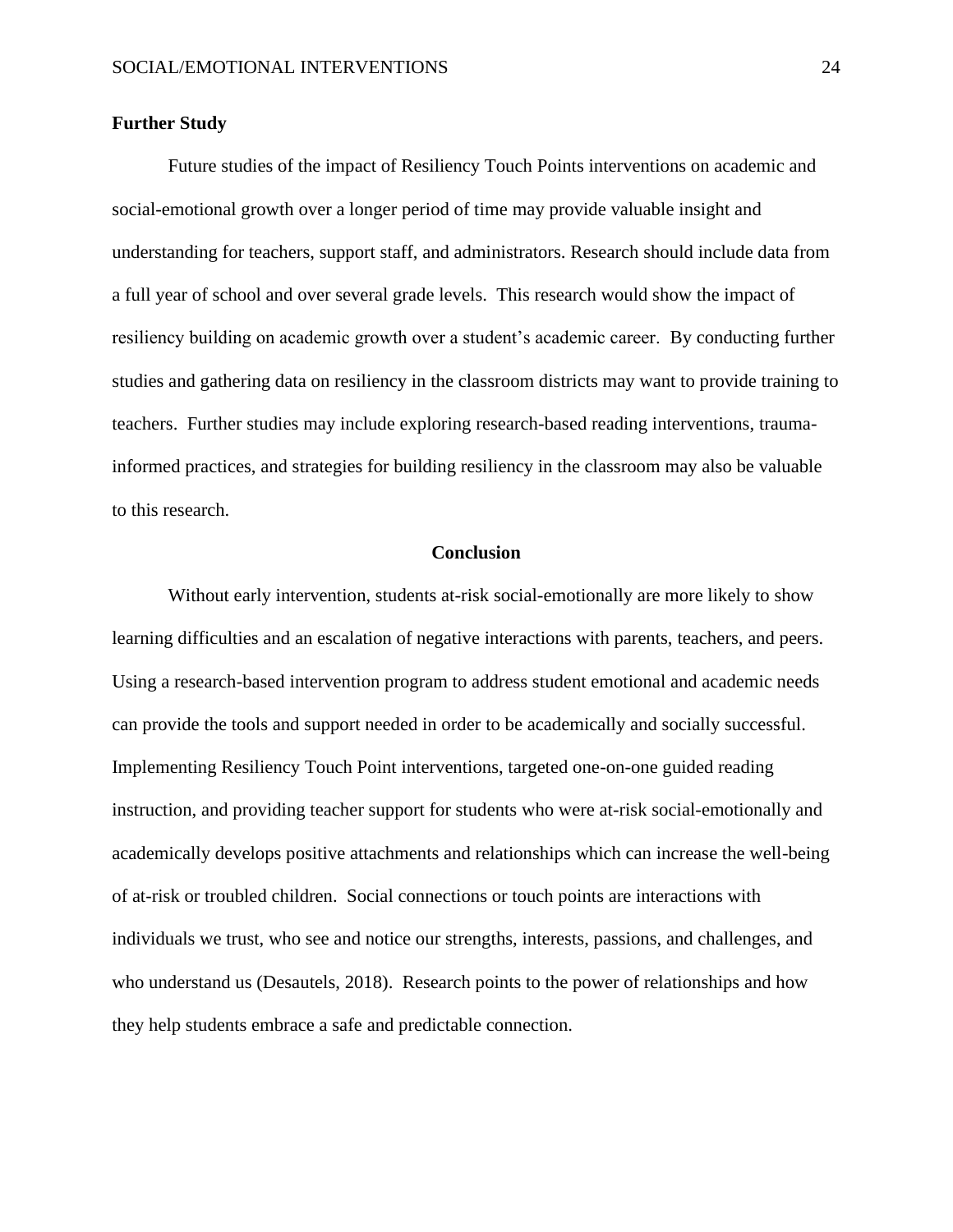# **Further Study**

Future studies of the impact of Resiliency Touch Points interventions on academic and social-emotional growth over a longer period of time may provide valuable insight and understanding for teachers, support staff, and administrators. Research should include data from a full year of school and over several grade levels. This research would show the impact of resiliency building on academic growth over a student's academic career. By conducting further studies and gathering data on resiliency in the classroom districts may want to provide training to teachers. Further studies may include exploring research-based reading interventions, traumainformed practices, and strategies for building resiliency in the classroom may also be valuable to this research.

# **Conclusion**

Without early intervention, students at-risk social-emotionally are more likely to show learning difficulties and an escalation of negative interactions with parents, teachers, and peers. Using a research-based intervention program to address student emotional and academic needs can provide the tools and support needed in order to be academically and socially successful. Implementing Resiliency Touch Point interventions, targeted one-on-one guided reading instruction, and providing teacher support for students who were at-risk social-emotionally and academically develops positive attachments and relationships which can increase the well-being of at-risk or troubled children. Social connections or touch points are interactions with individuals we trust, who see and notice our strengths, interests, passions, and challenges, and who understand us (Desautels, 2018). Research points to the power of relationships and how they help students embrace a safe and predictable connection.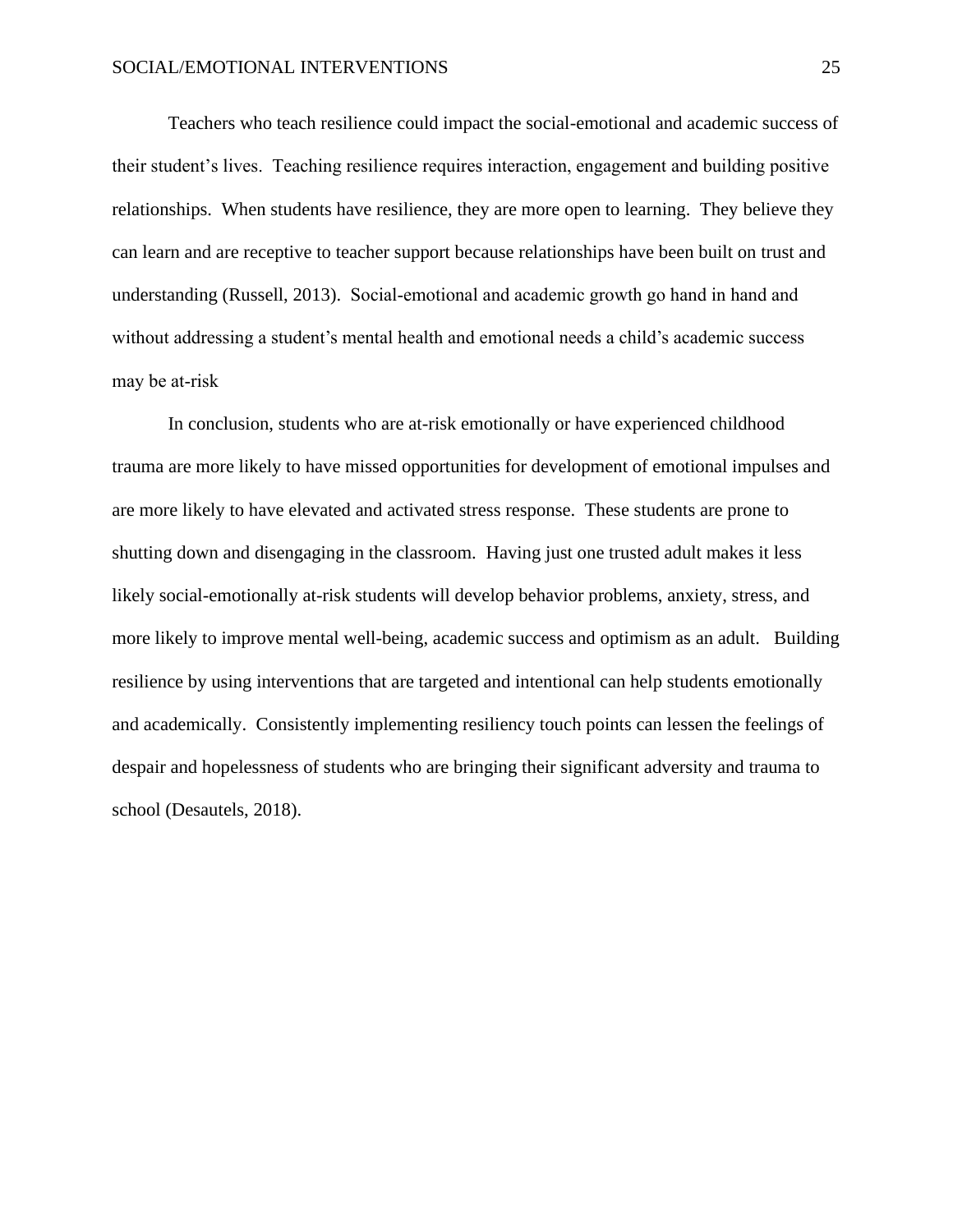Teachers who teach resilience could impact the social-emotional and academic success of their student's lives. Teaching resilience requires interaction, engagement and building positive relationships. When students have resilience, they are more open to learning. They believe they can learn and are receptive to teacher support because relationships have been built on trust and understanding (Russell, 2013). Social-emotional and academic growth go hand in hand and without addressing a student's mental health and emotional needs a child's academic success may be at-risk

In conclusion, students who are at-risk emotionally or have experienced childhood trauma are more likely to have missed opportunities for development of emotional impulses and are more likely to have elevated and activated stress response. These students are prone to shutting down and disengaging in the classroom. Having just one trusted adult makes it less likely social-emotionally at-risk students will develop behavior problems, anxiety, stress, and more likely to improve mental well-being, academic success and optimism as an adult. Building resilience by using interventions that are targeted and intentional can help students emotionally and academically. Consistently implementing resiliency touch points can lessen the feelings of despair and hopelessness of students who are bringing their significant adversity and trauma to school (Desautels, 2018).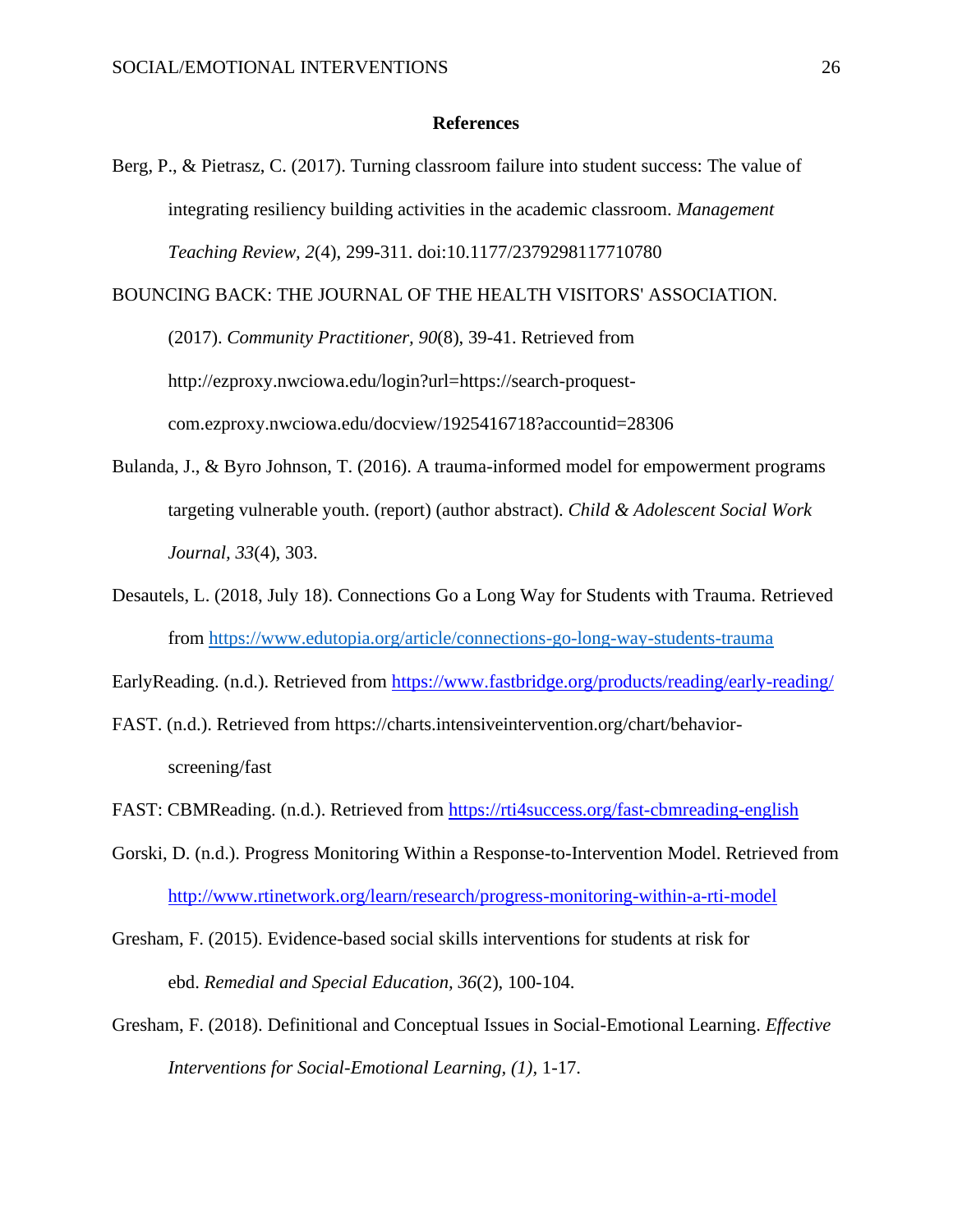# **References**

<span id="page-26-0"></span>Berg, P., & Pietrasz, C. (2017). Turning classroom failure into student success: The value of integrating resiliency building activities in the academic classroom. *Management Teaching Review, 2*(4), 299-311. doi:10.1177/2379298117710780

BOUNCING BACK: THE JOURNAL OF THE HEALTH VISITORS' ASSOCIATION.

(2017). *Community Practitioner, 90*(8), 39-41. Retrieved from http://ezproxy.nwciowa.edu/login?url=https://search-proquestcom.ezproxy.nwciowa.edu/docview/1925416718?accountid=28306

- Bulanda, J., & Byro Johnson, T. (2016). A trauma-informed model for empowerment programs targeting vulnerable youth. (report) (author abstract). *Child & Adolescent Social Work Journal, 33*(4), 303.
- Desautels, L. (2018, July 18). Connections Go a Long Way for Students with Trauma. Retrieved from<https://www.edutopia.org/article/connections-go-long-way-students-trauma>

EarlyReading. (n.d.). Retrieved from<https://www.fastbridge.org/products/reading/early-reading/>

FAST. (n.d.). Retrieved from https://charts.intensiveintervention.org/chart/behaviorscreening/fast

- FAST: CBMReading. (n.d.). Retrieved from<https://rti4success.org/fast-cbmreading-english>
- Gorski, D. (n.d.). Progress Monitoring Within a Response-to-Intervention Model. Retrieved from <http://www.rtinetwork.org/learn/research/progress-monitoring-within-a-rti-model>
- Gresham, F. (2015). Evidence-based social skills interventions for students at risk for ebd. *Remedial and Special Education, 36*(2), 100-104.
- Gresham, F. (2018). Definitional and Conceptual Issues in Social-Emotional Learning. *Effective Interventions for Social-Emotional Learning, (1),* 1-17.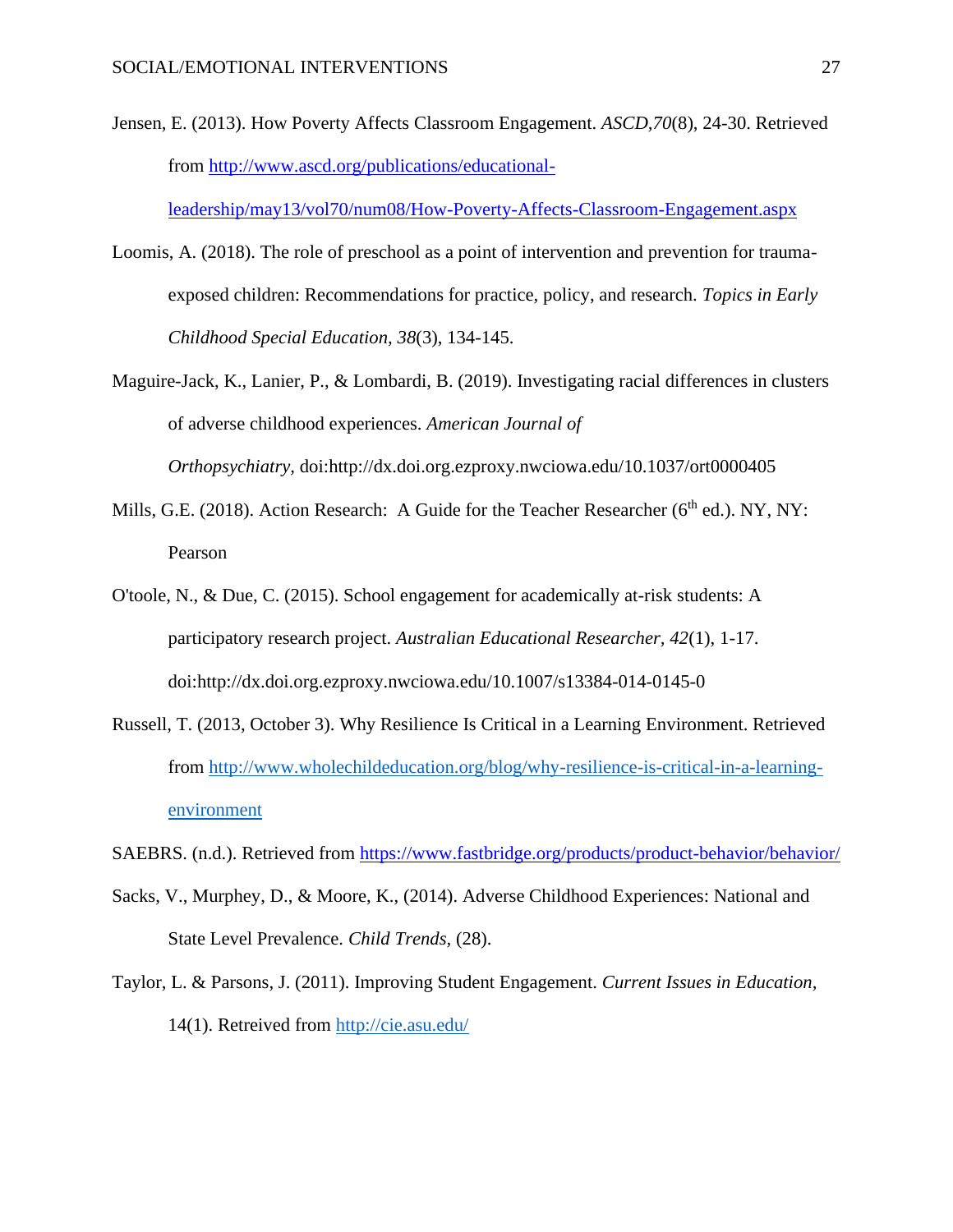Jensen, E. (2013). How Poverty Affects Classroom Engagement. *ASCD,70*(8), 24-30. Retrieved from [http://www.ascd.org/publications/educational-](http://www.ascd.org/publications/educational-leadership/may13/vol70/num08/How-Poverty-Affects-Classroom-Engagement.aspx)

[leadership/may13/vol70/num08/How-Poverty-Affects-Classroom-Engagement.aspx](http://www.ascd.org/publications/educational-leadership/may13/vol70/num08/How-Poverty-Affects-Classroom-Engagement.aspx)

- Loomis, A. (2018). The role of preschool as a point of intervention and prevention for traumaexposed children: Recommendations for practice, policy, and research. *Topics in Early Childhood Special Education, 38*(3), 134-145.
- Maguire-Jack, K., Lanier, P., & Lombardi, B. (2019). Investigating racial differences in clusters of adverse childhood experiences. *American Journal of Orthopsychiatry,* doi:http://dx.doi.org.ezproxy.nwciowa.edu/10.1037/ort0000405
- Mills, G.E. (2018). Action Research: A Guide for the Teacher Researcher (6<sup>th</sup> ed.). NY, NY: Pearson
- O'toole, N., & Due, C. (2015). School engagement for academically at-risk students: A participatory research project. *Australian Educational Researcher, 42*(1), 1-17. doi:http://dx.doi.org.ezproxy.nwciowa.edu/10.1007/s13384-014-0145-0
- Russell, T. (2013, October 3). Why Resilience Is Critical in a Learning Environment. Retrieved from [http://www.wholechildeducation.org/blog/why-resilience-is-critical-in-a-learning](http://www.wholechildeducation.org/blog/why-resilience-is-critical-in-a-learning-environment)[environment](http://www.wholechildeducation.org/blog/why-resilience-is-critical-in-a-learning-environment)
- SAEBRS. (n.d.). Retrieved from<https://www.fastbridge.org/products/product-behavior/behavior/>
- Sacks, V., Murphey, D., & Moore, K., (2014). Adverse Childhood Experiences: National and State Level Prevalence. *Child Trends,* (28).
- Taylor, L. & Parsons, J. (2011). Improving Student Engagement. *Current Issues in Education,*  14(1). Retreived from<http://cie.asu.edu/>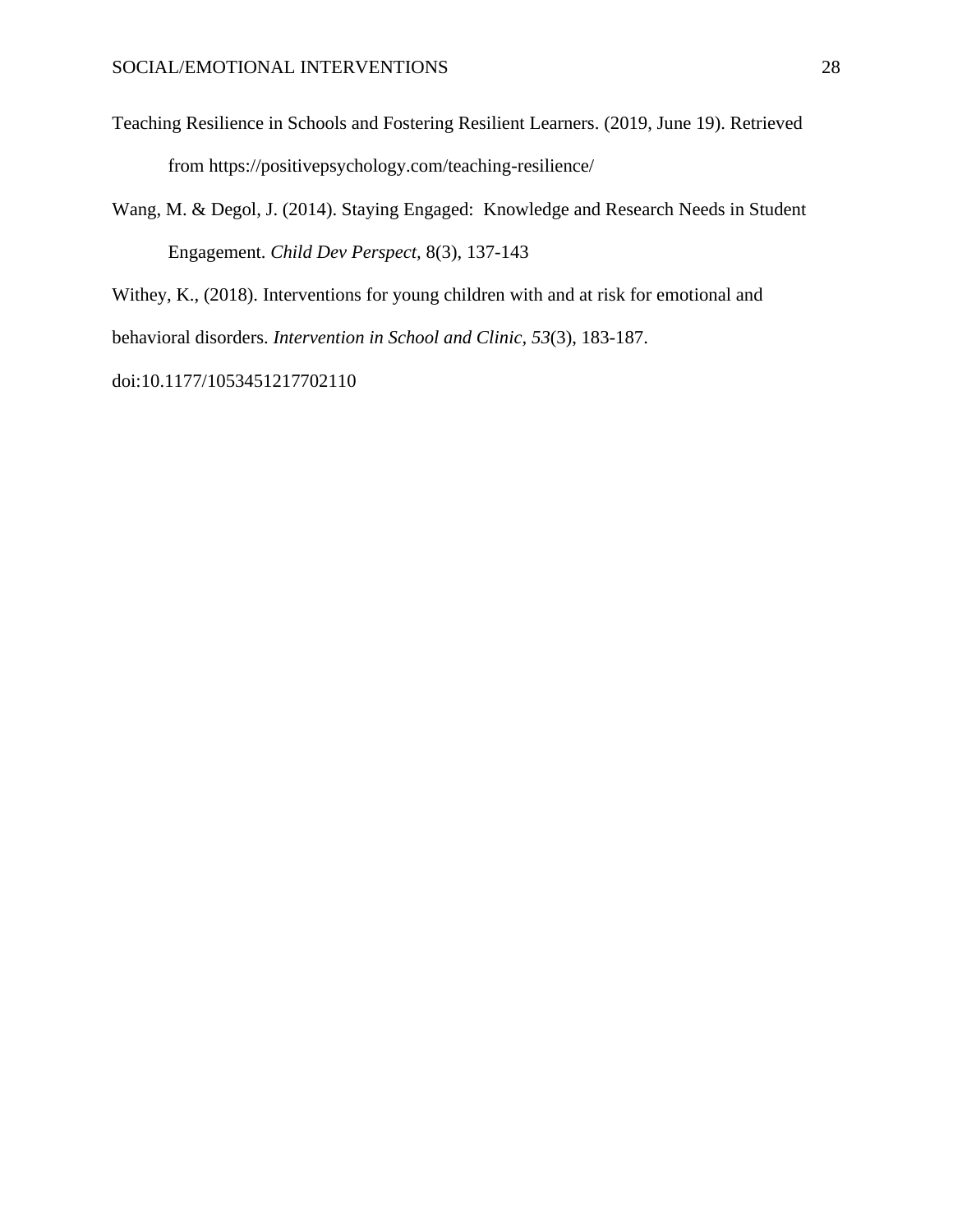Teaching Resilience in Schools and Fostering Resilient Learners. (2019, June 19). Retrieved from https://positivepsychology.com/teaching-resilience/

Wang, M. & Degol, J. (2014). Staying Engaged: Knowledge and Research Needs in Student Engagement. *Child Dev Perspect,* 8(3), 137-143

Withey, K., (2018). Interventions for young children with and at risk for emotional and

behavioral disorders. *Intervention in School and Clinic, 53*(3), 183-187.

doi:10.1177/1053451217702110